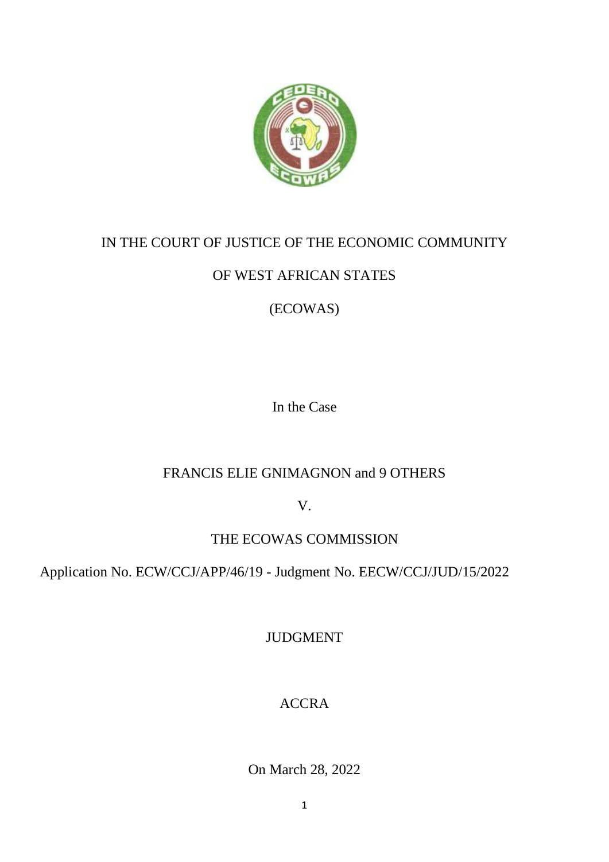

## IN THE COURT OF JUSTICE OF THE ECONOMIC COMMUNITY

# OF WEST AFRICAN STATES

# (ECOWAS)

In the Case

# FRANCIS ELIE GNIMAGNON and 9 OTHERS

V.

# THE ECOWAS COMMISSION

Application No. ECW/CCJ/APP/46/19 - Judgment No. EECW/CCJ/JUD/15/2022

JUDGMENT

# ACCRA

On March 28, 2022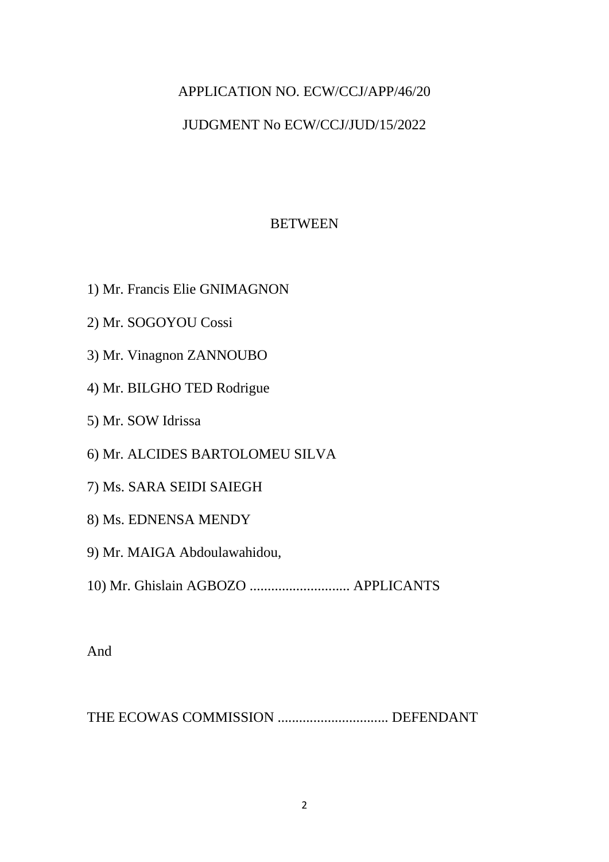# APPLICATION NO. ECW/CCJ/APP/46/20

## JUDGMENT No ECW/CCJ/JUD/15/2022

## **BETWEEN**

- 1) Mr. Francis Elie GNIMAGNON
- 2) Mr. SOGOYOU Cossi
- 3) Mr. Vinagnon ZANNOUBO
- 4) Mr. BILGHO TED Rodrigue
- 5) Mr. SOW Idrissa
- 6) Mr. ALCIDES BARTOLOMEU SILVA
- 7) Ms. SARA SEIDI SAIEGH
- 8) Ms. EDNENSA MENDY
- 9) Mr. MAIGA Abdoulawahidou,
- 10) Mr. Ghislain AGBOZO ............................ APPLICANTS

And

THE ECOWAS COMMISSION ............................... DEFENDANT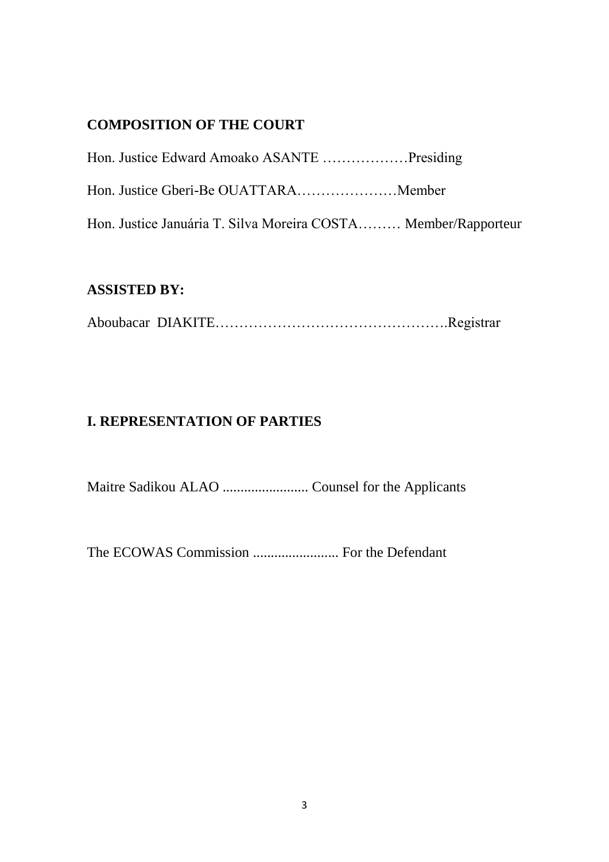## **COMPOSITION OF THE COURT**

| Hon. Justice Januária T. Silva Moreira COSTA Member/Rapporteur |  |
|----------------------------------------------------------------|--|

## **ASSISTED BY:**

Aboubacar DIAKITE………………………………………….Registrar

## **I. REPRESENTATION OF PARTIES**

Maitre Sadikou ALAO ........................ Counsel for the Applicants

The ECOWAS Commission ........................ For the Defendant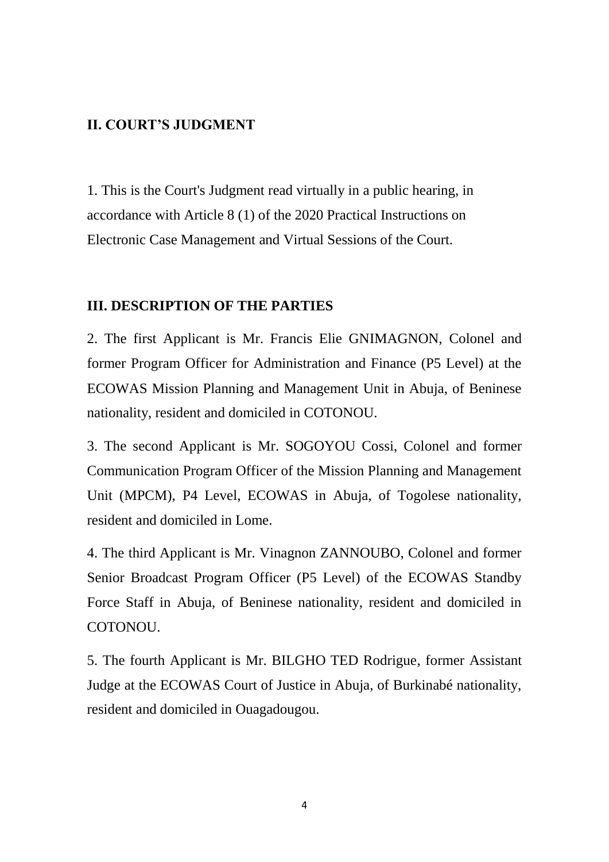### **II. COURT'S JUDGMENT**

1. This is the Court's Judgment read virtually in a public hearing, in accordance with Article 8 (1) of the 2020 Practical Instructions on Electronic Case Management and Virtual Sessions of the Court.

### **III. DESCRIPTION OF THE PARTIES**

2. The first Applicant is Mr. Francis Elie GNIMAGNON, Colonel and former Program Officer for Administration and Finance (P5 Level) at the ECOWAS Mission Planning and Management Unit in Abuja, of Beninese nationality, resident and domiciled in COTONOU.

3. The second Applicant is Mr. SOGOYOU Cossi, Colonel and former Communication Program Officer of the Mission Planning and Management Unit (MPCM), P4 Level, ECOWAS in Abuja, of Togolese nationality, resident and domiciled in Lome.

4. The third Applicant is Mr. Vinagnon ZANNOUBO, Colonel and former Senior Broadcast Program Officer (P5 Level) of the ECOWAS Standby Force Staff in Abuja, of Beninese nationality, resident and domiciled in COTONOU.

5. The fourth Applicant is Mr. BILGHO TED Rodrigue, former Assistant Judge at the ECOWAS Court of Justice in Abuja, of Burkinabé nationality, resident and domiciled in Ouagadougou.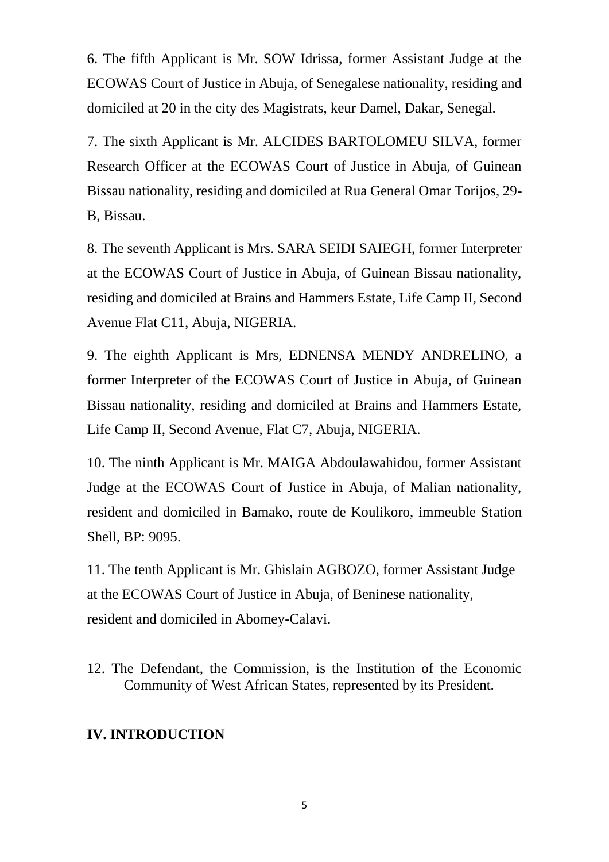6. The fifth Applicant is Mr. SOW Idrissa, former Assistant Judge at the ECOWAS Court of Justice in Abuja, of Senegalese nationality, residing and domiciled at 20 in the city des Magistrats, keur Damel, Dakar, Senegal.

7. The sixth Applicant is Mr. ALCIDES BARTOLOMEU SILVA, former Research Officer at the ECOWAS Court of Justice in Abuja, of Guinean Bissau nationality, residing and domiciled at Rua General Omar Torijos, 29- B, Bissau.

8. The seventh Applicant is Mrs. SARA SEIDI SAIEGH, former Interpreter at the ECOWAS Court of Justice in Abuja, of Guinean Bissau nationality, residing and domiciled at Brains and Hammers Estate, Life Camp II, Second Avenue Flat C11, Abuja, NIGERIA.

9. The eighth Applicant is Mrs, EDNENSA MENDY ANDRELINO, a former Interpreter of the ECOWAS Court of Justice in Abuja, of Guinean Bissau nationality, residing and domiciled at Brains and Hammers Estate, Life Camp II, Second Avenue, Flat C7, Abuja, NIGERIA.

10. The ninth Applicant is Mr. MAIGA Abdoulawahidou, former Assistant Judge at the ECOWAS Court of Justice in Abuja, of Malian nationality, resident and domiciled in Bamako, route de Koulikoro, immeuble Station Shell, BP: 9095.

11. The tenth Applicant is Mr. Ghislain AGBOZO, former Assistant Judge at the ECOWAS Court of Justice in Abuja, of Beninese nationality, resident and domiciled in Abomey-Calavi.

12. The Defendant, the Commission, is the Institution of the Economic Community of West African States, represented by its President.

## **IV. INTRODUCTION**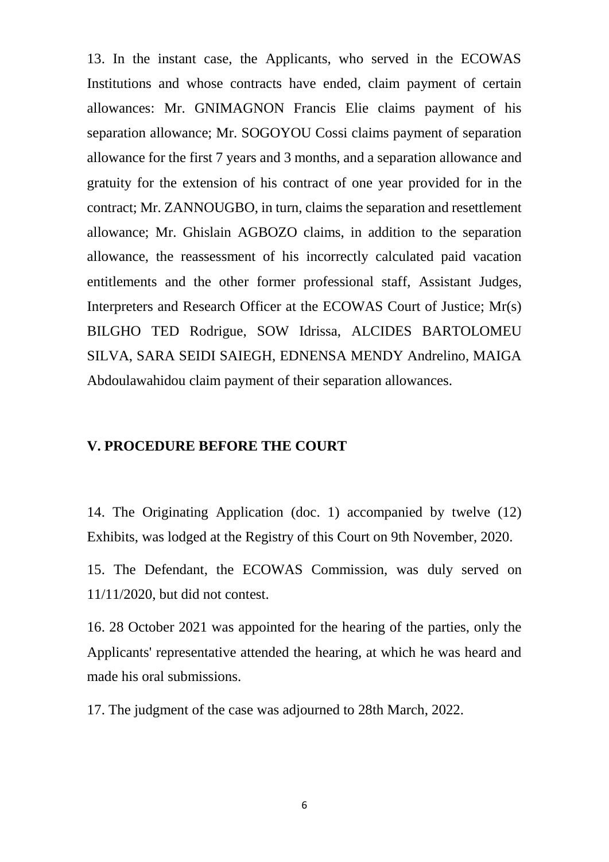13. In the instant case, the Applicants, who served in the ECOWAS Institutions and whose contracts have ended, claim payment of certain allowances: Mr. GNIMAGNON Francis Elie claims payment of his separation allowance; Mr. SOGOYOU Cossi claims payment of separation allowance for the first 7 years and 3 months, and a separation allowance and gratuity for the extension of his contract of one year provided for in the contract; Mr. ZANNOUGBO, in turn, claims the separation and resettlement allowance; Mr. Ghislain AGBOZO claims, in addition to the separation allowance, the reassessment of his incorrectly calculated paid vacation entitlements and the other former professional staff, Assistant Judges, Interpreters and Research Officer at the ECOWAS Court of Justice; Mr(s) BILGHO TED Rodrigue, SOW Idrissa, ALCIDES BARTOLOMEU SILVA, SARA SEIDI SAIEGH, EDNENSA MENDY Andrelino, MAIGA Abdoulawahidou claim payment of their separation allowances.

#### **V. PROCEDURE BEFORE THE COURT**

14. The Originating Application (doc. 1) accompanied by twelve (12) Exhibits, was lodged at the Registry of this Court on 9th November, 2020.

15. The Defendant, the ECOWAS Commission, was duly served on 11/11/2020, but did not contest.

16. 28 October 2021 was appointed for the hearing of the parties, only the Applicants' representative attended the hearing, at which he was heard and made his oral submissions.

17. The judgment of the case was adjourned to 28th March, 2022.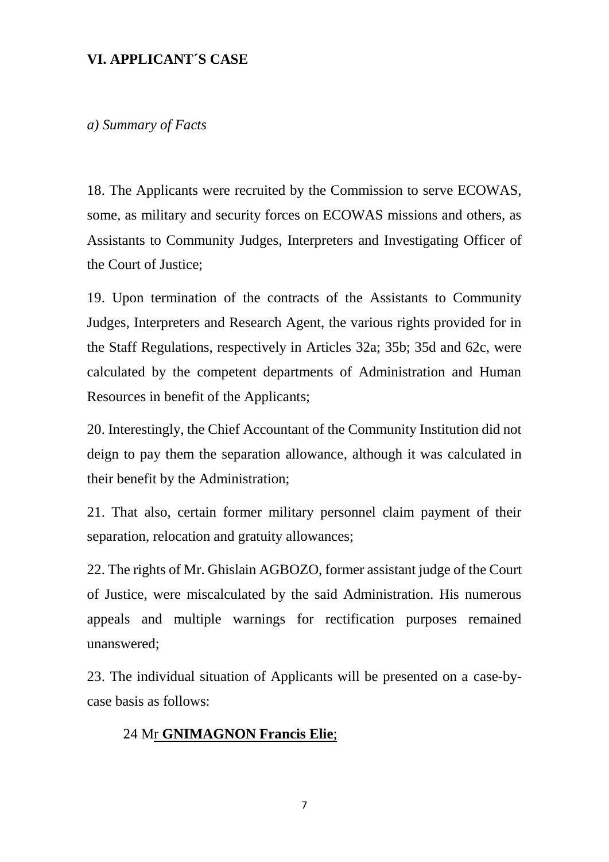## **VI. APPLICANT´S CASE**

*a) Summary of Facts*

18. The Applicants were recruited by the Commission to serve ECOWAS, some, as military and security forces on ECOWAS missions and others, as Assistants to Community Judges, Interpreters and Investigating Officer of the Court of Justice;

19. Upon termination of the contracts of the Assistants to Community Judges, Interpreters and Research Agent, the various rights provided for in the Staff Regulations, respectively in Articles 32a; 35b; 35d and 62c, were calculated by the competent departments of Administration and Human Resources in benefit of the Applicants;

20. Interestingly, the Chief Accountant of the Community Institution did not deign to pay them the separation allowance, although it was calculated in their benefit by the Administration;

21. That also, certain former military personnel claim payment of their separation, relocation and gratuity allowances;

22. The rights of Mr. Ghislain AGBOZO, former assistant judge of the Court of Justice, were miscalculated by the said Administration. His numerous appeals and multiple warnings for rectification purposes remained unanswered;

23. The individual situation of Applicants will be presented on a case-bycase basis as follows:

#### 24 Mr **GNIMAGNON Francis Elie**;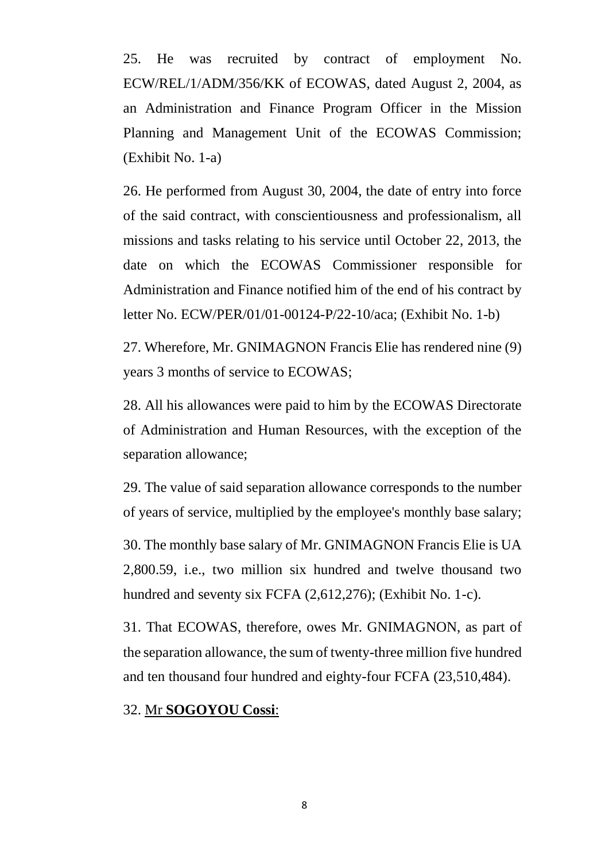25. He was recruited by contract of employment No. ECW/REL/1/ADM/356/KK of ECOWAS, dated August 2, 2004, as an Administration and Finance Program Officer in the Mission Planning and Management Unit of the ECOWAS Commission; (Exhibit No. 1-a)

26. He performed from August 30, 2004, the date of entry into force of the said contract, with conscientiousness and professionalism, all missions and tasks relating to his service until October 22, 2013, the date on which the ECOWAS Commissioner responsible for Administration and Finance notified him of the end of his contract by letter No. ECW/PER/01/01-00124-P/22-10/aca; (Exhibit No. 1-b)

27. Wherefore, Mr. GNIMAGNON Francis Elie has rendered nine (9) years 3 months of service to ECOWAS;

28. All his allowances were paid to him by the ECOWAS Directorate of Administration and Human Resources, with the exception of the separation allowance;

29. The value of said separation allowance corresponds to the number of years of service, multiplied by the employee's monthly base salary;

30. The monthly base salary of Mr. GNIMAGNON Francis Elie is UA 2,800.59, i.e., two million six hundred and twelve thousand two hundred and seventy six FCFA (2,612,276); (Exhibit No. 1-c).

31. That ECOWAS, therefore, owes Mr. GNIMAGNON, as part of the separation allowance, the sum of twenty-three million five hundred and ten thousand four hundred and eighty-four FCFA (23,510,484).

#### 32. Mr **SOGOYOU Cossi**: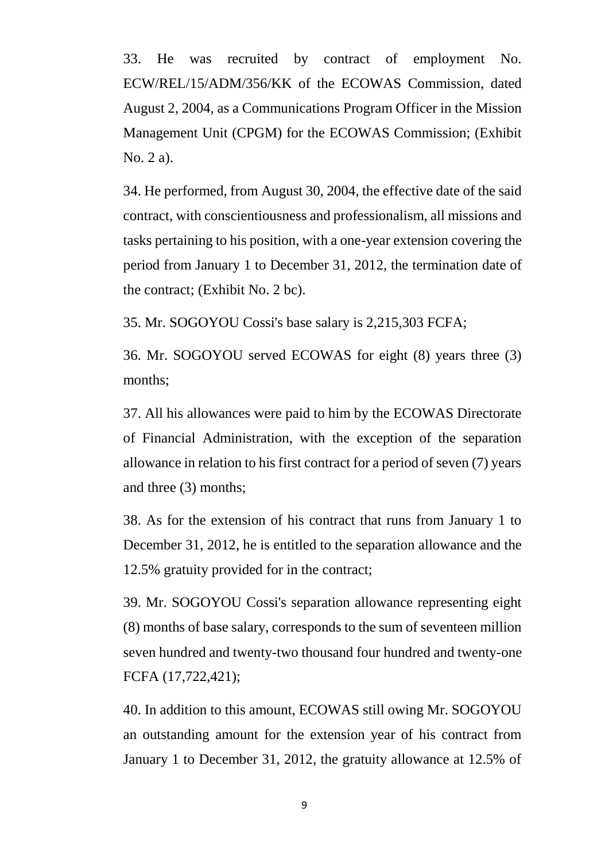33. He was recruited by contract of employment No. ECW/REL/15/ADM/356/KK of the ECOWAS Commission, dated August 2, 2004, as a Communications Program Officer in the Mission Management Unit (CPGM) for the ECOWAS Commission; (Exhibit No. 2 a).

34. He performed, from August 30, 2004, the effective date of the said contract, with conscientiousness and professionalism, all missions and tasks pertaining to his position, with a one-year extension covering the period from January 1 to December 31, 2012, the termination date of the contract; (Exhibit No. 2 bc).

35. Mr. SOGOYOU Cossi's base salary is 2,215,303 FCFA;

36. Mr. SOGOYOU served ECOWAS for eight (8) years three (3) months;

37. All his allowances were paid to him by the ECOWAS Directorate of Financial Administration, with the exception of the separation allowance in relation to his first contract for a period of seven (7) years and three (3) months;

38. As for the extension of his contract that runs from January 1 to December 31, 2012, he is entitled to the separation allowance and the 12.5% gratuity provided for in the contract;

39. Mr. SOGOYOU Cossi's separation allowance representing eight (8) months of base salary, corresponds to the sum of seventeen million seven hundred and twenty-two thousand four hundred and twenty-one FCFA (17,722,421);

40. In addition to this amount, ECOWAS still owing Mr. SOGOYOU an outstanding amount for the extension year of his contract from January 1 to December 31, 2012, the gratuity allowance at 12.5% of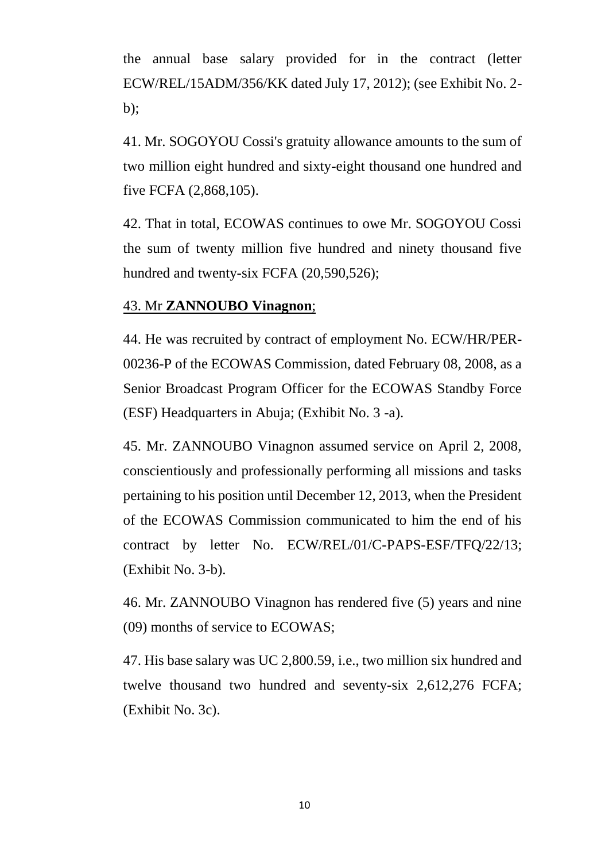the annual base salary provided for in the contract (letter ECW/REL/15ADM/356/KK dated July 17, 2012); (see Exhibit No. 2  $b$ :

41. Mr. SOGOYOU Cossi's gratuity allowance amounts to the sum of two million eight hundred and sixty-eight thousand one hundred and five FCFA (2,868,105).

42. That in total, ECOWAS continues to owe Mr. SOGOYOU Cossi the sum of twenty million five hundred and ninety thousand five hundred and twenty-six FCFA (20,590,526);

## 43. Mr **ZANNOUBO Vinagnon**;

44. He was recruited by contract of employment No. ECW/HR/PER-00236-P of the ECOWAS Commission, dated February 08, 2008, as a Senior Broadcast Program Officer for the ECOWAS Standby Force (ESF) Headquarters in Abuja; (Exhibit No. 3 -a).

45. Mr. ZANNOUBO Vinagnon assumed service on April 2, 2008, conscientiously and professionally performing all missions and tasks pertaining to his position until December 12, 2013, when the President of the ECOWAS Commission communicated to him the end of his contract by letter No. ECW/REL/01/C-PAPS-ESF/TFQ/22/13; (Exhibit No. 3-b).

46. Mr. ZANNOUBO Vinagnon has rendered five (5) years and nine (09) months of service to ECOWAS;

47. His base salary was UC 2,800.59, i.e., two million six hundred and twelve thousand two hundred and seventy-six 2,612,276 FCFA; (Exhibit No. 3c).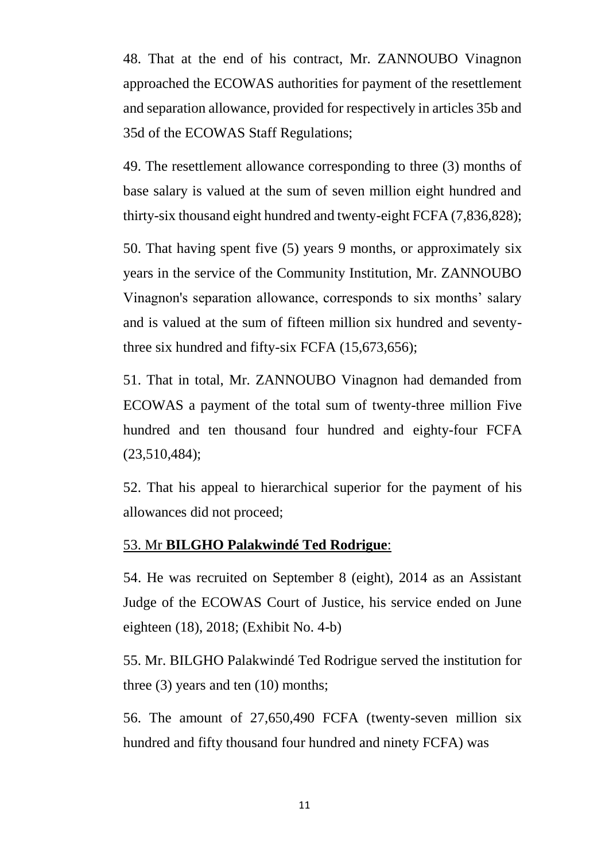48. That at the end of his contract, Mr. ZANNOUBO Vinagnon approached the ECOWAS authorities for payment of the resettlement and separation allowance, provided for respectively in articles 35b and 35d of the ECOWAS Staff Regulations;

49. The resettlement allowance corresponding to three (3) months of base salary is valued at the sum of seven million eight hundred and thirty-six thousand eight hundred and twenty-eight FCFA (7,836,828);

50. That having spent five (5) years 9 months, or approximately six years in the service of the Community Institution, Mr. ZANNOUBO Vinagnon's separation allowance, corresponds to six months' salary and is valued at the sum of fifteen million six hundred and seventythree six hundred and fifty-six FCFA (15,673,656);

51. That in total, Mr. ZANNOUBO Vinagnon had demanded from ECOWAS a payment of the total sum of twenty-three million Five hundred and ten thousand four hundred and eighty-four FCFA (23,510,484);

52. That his appeal to hierarchical superior for the payment of his allowances did not proceed;

### 53. Mr **BILGHO Palakwindé Ted Rodrigue**:

54. He was recruited on September 8 (eight), 2014 as an Assistant Judge of the ECOWAS Court of Justice, his service ended on June eighteen (18), 2018; (Exhibit No. 4-b)

55. Mr. BILGHO Palakwindé Ted Rodrigue served the institution for three (3) years and ten (10) months;

56. The amount of 27,650,490 FCFA (twenty-seven million six hundred and fifty thousand four hundred and ninety FCFA) was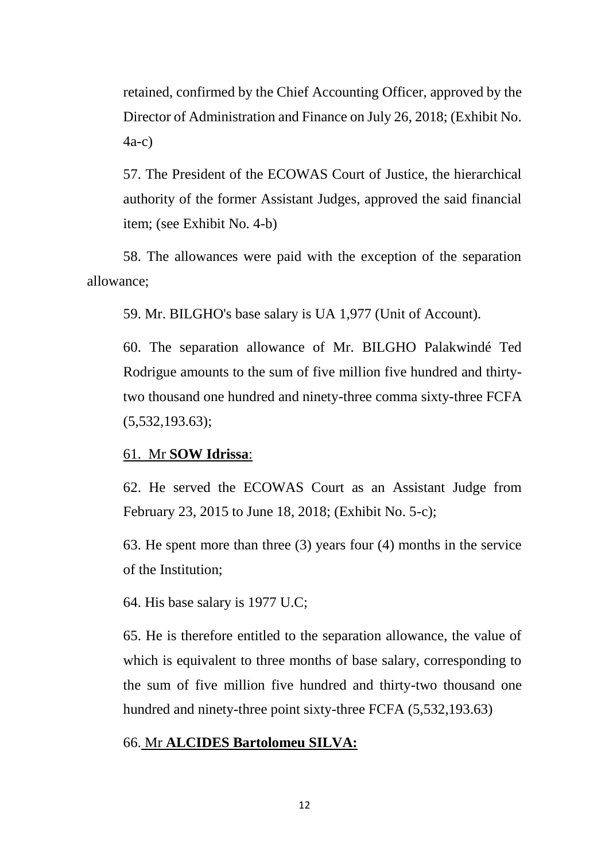retained, confirmed by the Chief Accounting Officer, approved by the Director of Administration and Finance on July 26, 2018; (Exhibit No. 4a-c)

57. The President of the ECOWAS Court of Justice, the hierarchical authority of the former Assistant Judges, approved the said financial item; (see Exhibit No. 4-b)

58. The allowances were paid with the exception of the separation allowance;

59. Mr. BILGHO's base salary is UA 1,977 (Unit of Account).

60. The separation allowance of Mr. BILGHO Palakwindé Ted Rodrigue amounts to the sum of five million five hundred and thirtytwo thousand one hundred and ninety-three comma sixty-three FCFA (5,532,193.63);

#### 61. Mr **SOW Idrissa**:

62. He served the ECOWAS Court as an Assistant Judge from February 23, 2015 to June 18, 2018; (Exhibit No. 5-c);

63. He spent more than three (3) years four (4) months in the service of the Institution;

64. His base salary is 1977 U.C;

65. He is therefore entitled to the separation allowance, the value of which is equivalent to three months of base salary, corresponding to the sum of five million five hundred and thirty-two thousand one hundred and ninety-three point sixty-three FCFA (5,532,193.63)

#### 66. Mr **ALCIDES Bartolomeu SILVA:**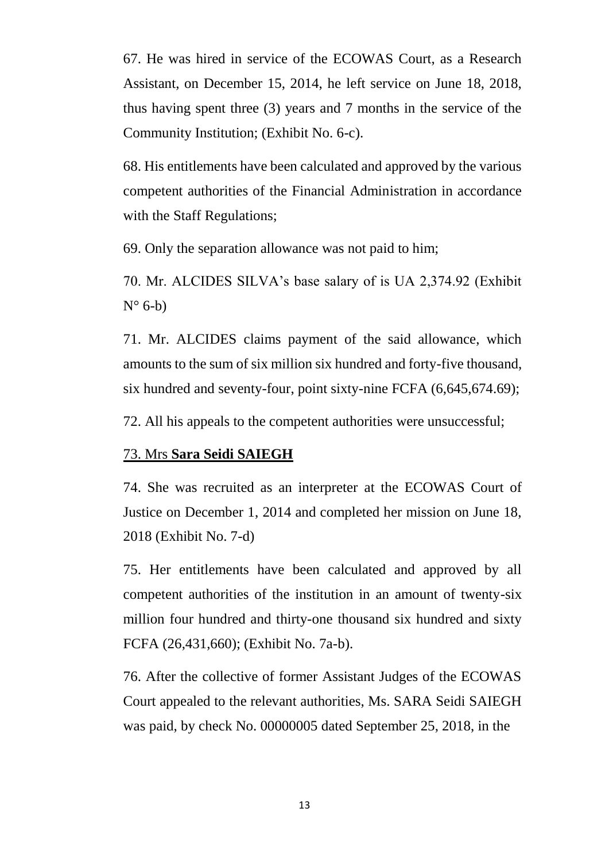67. He was hired in service of the ECOWAS Court, as a Research Assistant, on December 15, 2014, he left service on June 18, 2018, thus having spent three (3) years and 7 months in the service of the Community Institution; (Exhibit No. 6-c).

68. His entitlements have been calculated and approved by the various competent authorities of the Financial Administration in accordance with the Staff Regulations;

69. Only the separation allowance was not paid to him;

70. Mr. ALCIDES SILVA's base salary of is UA 2,374.92 (Exhibit  $N^{\circ}$  6-b)

71. Mr. ALCIDES claims payment of the said allowance, which amounts to the sum of six million six hundred and forty-five thousand, six hundred and seventy-four, point sixty-nine FCFA (6,645,674.69);

72. All his appeals to the competent authorities were unsuccessful;

#### 73. Mrs **Sara Seidi SAIEGH**

74. She was recruited as an interpreter at the ECOWAS Court of Justice on December 1, 2014 and completed her mission on June 18, 2018 (Exhibit No. 7-d)

75. Her entitlements have been calculated and approved by all competent authorities of the institution in an amount of twenty-six million four hundred and thirty-one thousand six hundred and sixty FCFA (26,431,660); (Exhibit No. 7a-b).

76. After the collective of former Assistant Judges of the ECOWAS Court appealed to the relevant authorities, Ms. SARA Seidi SAIEGH was paid, by check No. 00000005 dated September 25, 2018, in the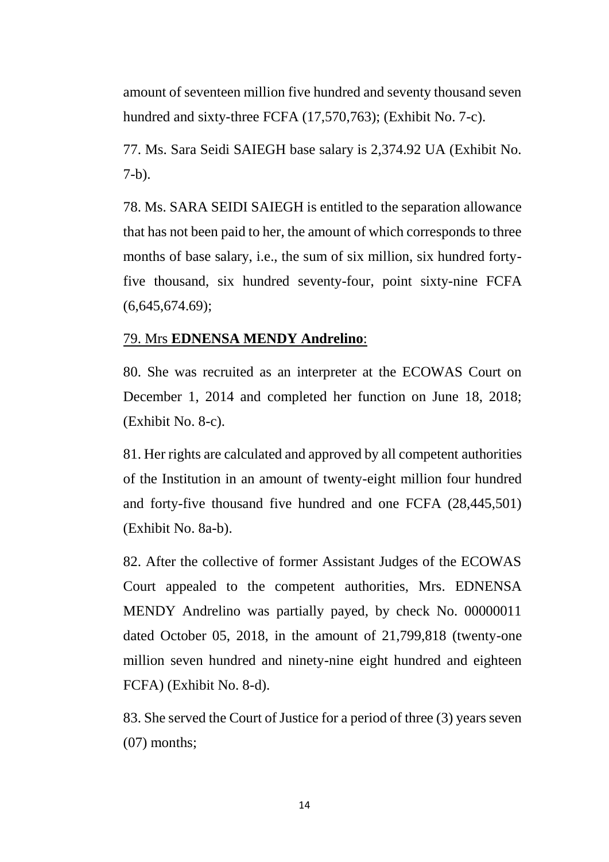amount of seventeen million five hundred and seventy thousand seven hundred and sixty-three FCFA (17,570,763); (Exhibit No. 7-c).

77. Ms. Sara Seidi SAIEGH base salary is 2,374.92 UA (Exhibit No. 7-b).

78. Ms. SARA SEIDI SAIEGH is entitled to the separation allowance that has not been paid to her, the amount of which corresponds to three months of base salary, i.e., the sum of six million, six hundred fortyfive thousand, six hundred seventy-four, point sixty-nine FCFA (6,645,674.69);

## 79. Mrs **EDNENSA MENDY Andrelino**:

80. She was recruited as an interpreter at the ECOWAS Court on December 1, 2014 and completed her function on June 18, 2018; (Exhibit No. 8-c).

81. Her rights are calculated and approved by all competent authorities of the Institution in an amount of twenty-eight million four hundred and forty-five thousand five hundred and one FCFA (28,445,501) (Exhibit No. 8a-b).

82. After the collective of former Assistant Judges of the ECOWAS Court appealed to the competent authorities, Mrs. EDNENSA MENDY Andrelino was partially payed, by check No. 00000011 dated October 05, 2018, in the amount of 21,799,818 (twenty-one million seven hundred and ninety-nine eight hundred and eighteen FCFA) (Exhibit No. 8-d).

83. She served the Court of Justice for a period of three (3) years seven (07) months;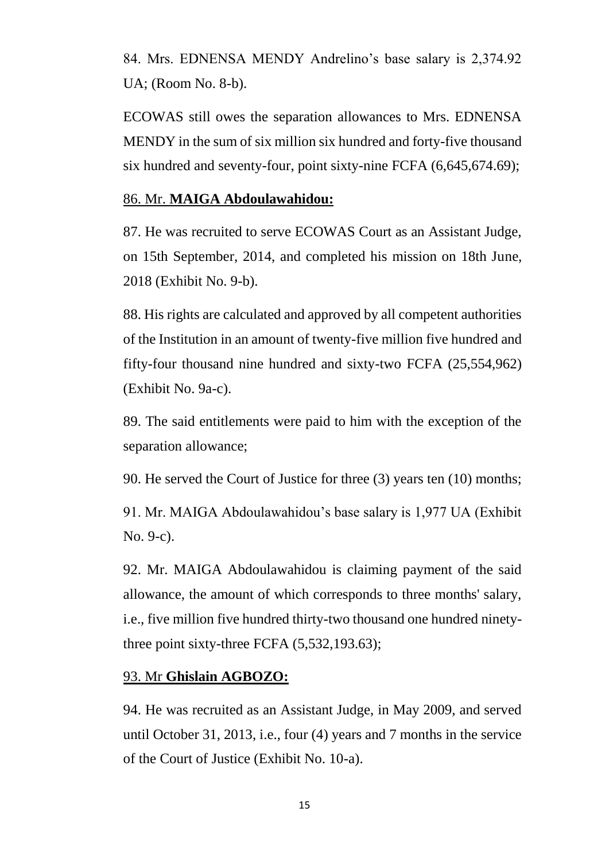84. Mrs. EDNENSA MENDY Andrelino's base salary is 2,374.92 UA; (Room No. 8-b).

ECOWAS still owes the separation allowances to Mrs. EDNENSA MENDY in the sum of six million six hundred and forty-five thousand six hundred and seventy-four, point sixty-nine FCFA (6,645,674.69);

## 86. Mr. **MAIGA Abdoulawahidou:**

87. He was recruited to serve ECOWAS Court as an Assistant Judge, on 15th September, 2014, and completed his mission on 18th June, 2018 (Exhibit No. 9-b).

88. His rights are calculated and approved by all competent authorities of the Institution in an amount of twenty-five million five hundred and fifty-four thousand nine hundred and sixty-two FCFA (25,554,962) (Exhibit No. 9a-c).

89. The said entitlements were paid to him with the exception of the separation allowance;

90. He served the Court of Justice for three (3) years ten (10) months;

91. Mr. MAIGA Abdoulawahidou's base salary is 1,977 UA (Exhibit No. 9-c).

92. Mr. MAIGA Abdoulawahidou is claiming payment of the said allowance, the amount of which corresponds to three months' salary, i.e., five million five hundred thirty-two thousand one hundred ninetythree point sixty-three FCFA (5,532,193.63);

## 93. Mr **Ghislain AGBOZO:**

94. He was recruited as an Assistant Judge, in May 2009, and served until October 31, 2013, i.e., four (4) years and 7 months in the service of the Court of Justice (Exhibit No. 10-a).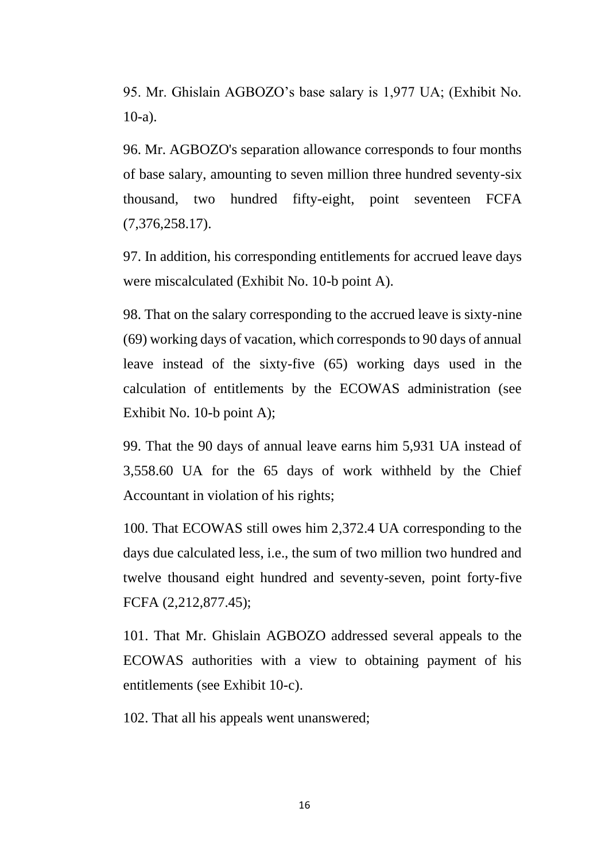95. Mr. Ghislain AGBOZO's base salary is 1,977 UA; (Exhibit No. 10-a).

96. Mr. AGBOZO's separation allowance corresponds to four months of base salary, amounting to seven million three hundred seventy-six thousand, two hundred fifty-eight, point seventeen FCFA (7,376,258.17).

97. In addition, his corresponding entitlements for accrued leave days were miscalculated (Exhibit No. 10-b point A).

98. That on the salary corresponding to the accrued leave is sixty-nine (69) working days of vacation, which corresponds to 90 days of annual leave instead of the sixty-five (65) working days used in the calculation of entitlements by the ECOWAS administration (see Exhibit No. 10-b point A);

99. That the 90 days of annual leave earns him 5,931 UA instead of 3,558.60 UA for the 65 days of work withheld by the Chief Accountant in violation of his rights;

100. That ECOWAS still owes him 2,372.4 UA corresponding to the days due calculated less, i.e., the sum of two million two hundred and twelve thousand eight hundred and seventy-seven, point forty-five FCFA (2,212,877.45);

101. That Mr. Ghislain AGBOZO addressed several appeals to the ECOWAS authorities with a view to obtaining payment of his entitlements (see Exhibit 10-c).

102. That all his appeals went unanswered;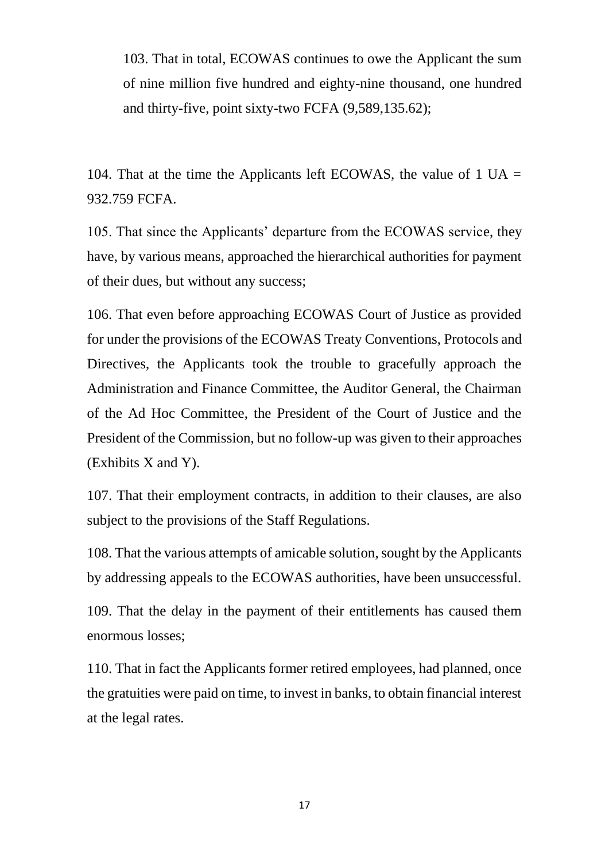103. That in total, ECOWAS continues to owe the Applicant the sum of nine million five hundred and eighty-nine thousand, one hundred and thirty-five, point sixty-two FCFA (9,589,135.62);

104. That at the time the Applicants left ECOWAS, the value of 1  $UA =$ 932.759 FCFA.

105. That since the Applicants' departure from the ECOWAS service, they have, by various means, approached the hierarchical authorities for payment of their dues, but without any success;

106. That even before approaching ECOWAS Court of Justice as provided for under the provisions of the ECOWAS Treaty Conventions, Protocols and Directives, the Applicants took the trouble to gracefully approach the Administration and Finance Committee, the Auditor General, the Chairman of the Ad Hoc Committee, the President of the Court of Justice and the President of the Commission, but no follow-up was given to their approaches (Exhibits X and Y).

107. That their employment contracts, in addition to their clauses, are also subject to the provisions of the Staff Regulations.

108. That the various attempts of amicable solution, sought by the Applicants by addressing appeals to the ECOWAS authorities, have been unsuccessful.

109. That the delay in the payment of their entitlements has caused them enormous losses;

110. That in fact the Applicants former retired employees, had planned, once the gratuities were paid on time, to invest in banks, to obtain financial interest at the legal rates.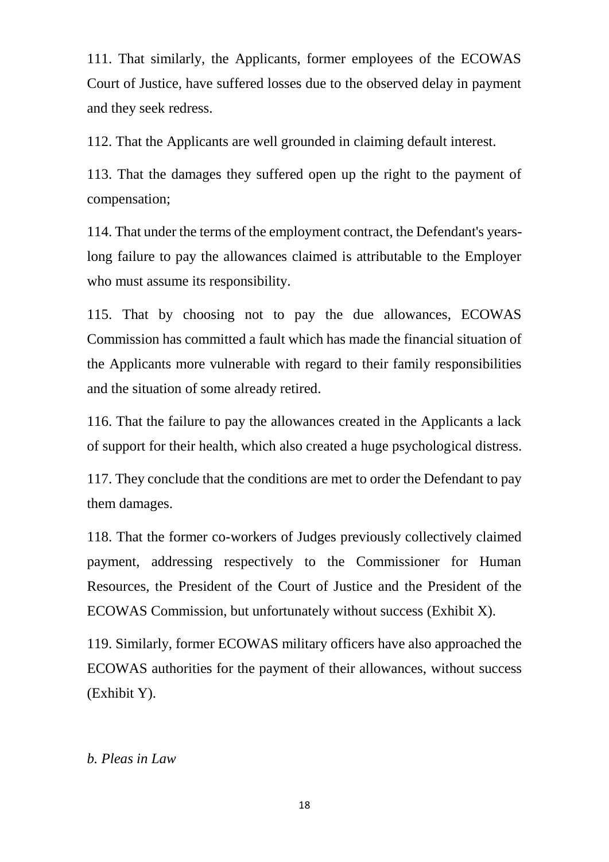111. That similarly, the Applicants, former employees of the ECOWAS Court of Justice, have suffered losses due to the observed delay in payment and they seek redress.

112. That the Applicants are well grounded in claiming default interest.

113. That the damages they suffered open up the right to the payment of compensation;

114. That under the terms of the employment contract, the Defendant's yearslong failure to pay the allowances claimed is attributable to the Employer who must assume its responsibility.

115. That by choosing not to pay the due allowances, ECOWAS Commission has committed a fault which has made the financial situation of the Applicants more vulnerable with regard to their family responsibilities and the situation of some already retired.

116. That the failure to pay the allowances created in the Applicants a lack of support for their health, which also created a huge psychological distress.

117. They conclude that the conditions are met to order the Defendant to pay them damages.

118. That the former co-workers of Judges previously collectively claimed payment, addressing respectively to the Commissioner for Human Resources, the President of the Court of Justice and the President of the ECOWAS Commission, but unfortunately without success (Exhibit X).

119. Similarly, former ECOWAS military officers have also approached the ECOWAS authorities for the payment of their allowances, without success (Exhibit Y).

## *b. Pleas in Law*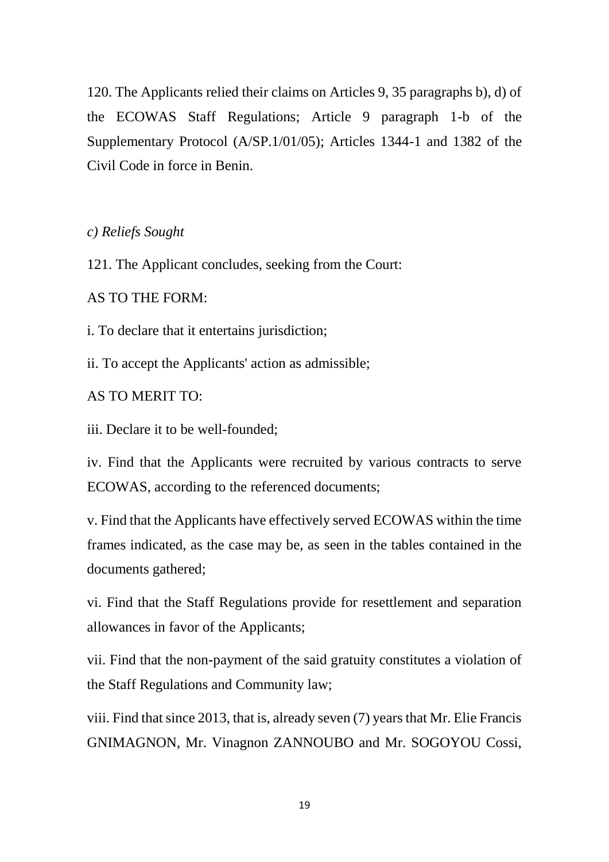120. The Applicants relied their claims on Articles 9, 35 paragraphs b), d) of the ECOWAS Staff Regulations; Article 9 paragraph 1-b of the Supplementary Protocol (A/SP.1/01/05); Articles 1344-1 and 1382 of the Civil Code in force in Benin.

*c) Reliefs Sought*

121. The Applicant concludes, seeking from the Court:

AS TO THE FORM:

i. To declare that it entertains jurisdiction;

ii. To accept the Applicants' action as admissible;

AS TO MERIT TO:

iii. Declare it to be well-founded;

iv. Find that the Applicants were recruited by various contracts to serve ECOWAS, according to the referenced documents;

v. Find that the Applicants have effectively served ECOWAS within the time frames indicated, as the case may be, as seen in the tables contained in the documents gathered;

vi. Find that the Staff Regulations provide for resettlement and separation allowances in favor of the Applicants;

vii. Find that the non-payment of the said gratuity constitutes a violation of the Staff Regulations and Community law;

viii. Find that since 2013, that is, already seven (7) years that Mr. Elie Francis GNIMAGNON, Mr. Vinagnon ZANNOUBO and Mr. SOGOYOU Cossi,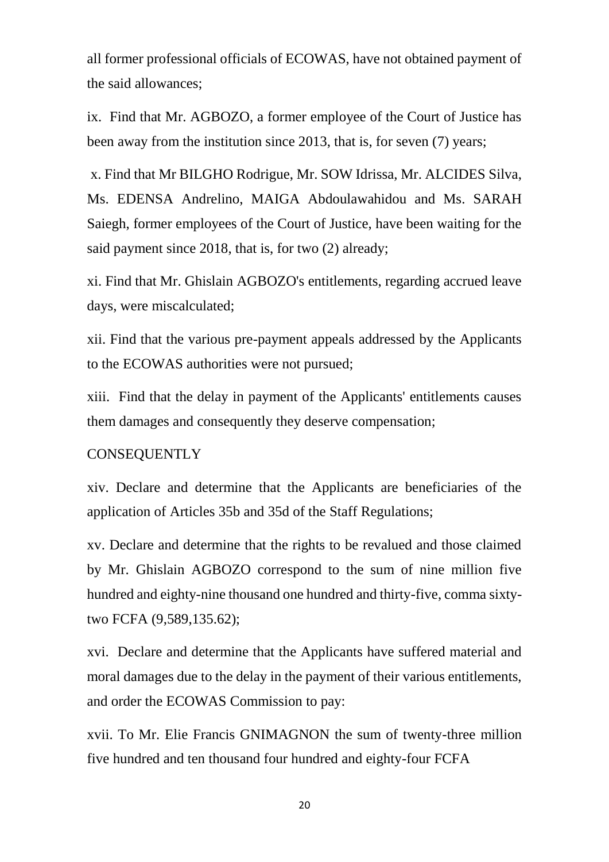all former professional officials of ECOWAS, have not obtained payment of the said allowances;

ix. Find that Mr. AGBOZO, a former employee of the Court of Justice has been away from the institution since 2013, that is, for seven (7) years;

x. Find that Mr BILGHO Rodrigue, Mr. SOW Idrissa, Mr. ALCIDES Silva, Ms. EDENSA Andrelino, MAIGA Abdoulawahidou and Ms. SARAH Saiegh, former employees of the Court of Justice, have been waiting for the said payment since 2018, that is, for two (2) already;

xi. Find that Mr. Ghislain AGBOZO's entitlements, regarding accrued leave days, were miscalculated;

xii. Find that the various pre-payment appeals addressed by the Applicants to the ECOWAS authorities were not pursued;

xiii. Find that the delay in payment of the Applicants' entitlements causes them damages and consequently they deserve compensation;

### **CONSEQUENTLY**

xiv. Declare and determine that the Applicants are beneficiaries of the application of Articles 35b and 35d of the Staff Regulations;

xv. Declare and determine that the rights to be revalued and those claimed by Mr. Ghislain AGBOZO correspond to the sum of nine million five hundred and eighty-nine thousand one hundred and thirty-five, comma sixtytwo FCFA (9,589,135.62);

xvi. Declare and determine that the Applicants have suffered material and moral damages due to the delay in the payment of their various entitlements, and order the ECOWAS Commission to pay:

xvii. To Mr. Elie Francis GNIMAGNON the sum of twenty-three million five hundred and ten thousand four hundred and eighty-four FCFA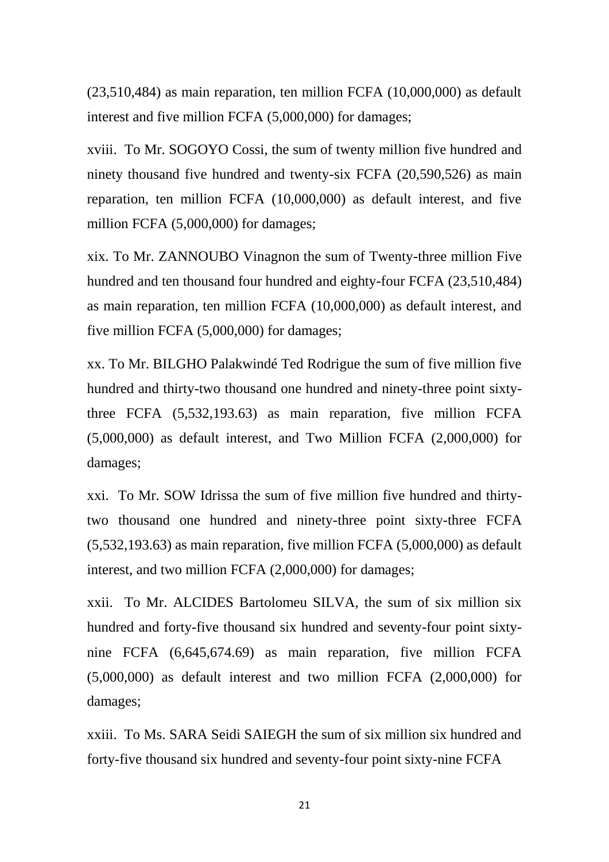(23,510,484) as main reparation, ten million FCFA (10,000,000) as default interest and five million FCFA (5,000,000) for damages;

xviii. To Mr. SOGOYO Cossi, the sum of twenty million five hundred and ninety thousand five hundred and twenty-six FCFA (20,590,526) as main reparation, ten million FCFA (10,000,000) as default interest, and five million FCFA (5,000,000) for damages;

xix. To Mr. ZANNOUBO Vinagnon the sum of Twenty-three million Five hundred and ten thousand four hundred and eighty-four FCFA (23,510,484) as main reparation, ten million FCFA (10,000,000) as default interest, and five million FCFA (5,000,000) for damages;

xx. To Mr. BILGHO Palakwindé Ted Rodrigue the sum of five million five hundred and thirty-two thousand one hundred and ninety-three point sixtythree FCFA (5,532,193.63) as main reparation, five million FCFA (5,000,000) as default interest, and Two Million FCFA (2,000,000) for damages;

xxi. To Mr. SOW Idrissa the sum of five million five hundred and thirtytwo thousand one hundred and ninety-three point sixty-three FCFA (5,532,193.63) as main reparation, five million FCFA (5,000,000) as default interest, and two million FCFA (2,000,000) for damages;

xxii. To Mr. ALCIDES Bartolomeu SILVA, the sum of six million six hundred and forty-five thousand six hundred and seventy-four point sixtynine FCFA (6,645,674.69) as main reparation, five million FCFA (5,000,000) as default interest and two million FCFA (2,000,000) for damages;

xxiii. To Ms. SARA Seidi SAIEGH the sum of six million six hundred and forty-five thousand six hundred and seventy-four point sixty-nine FCFA

21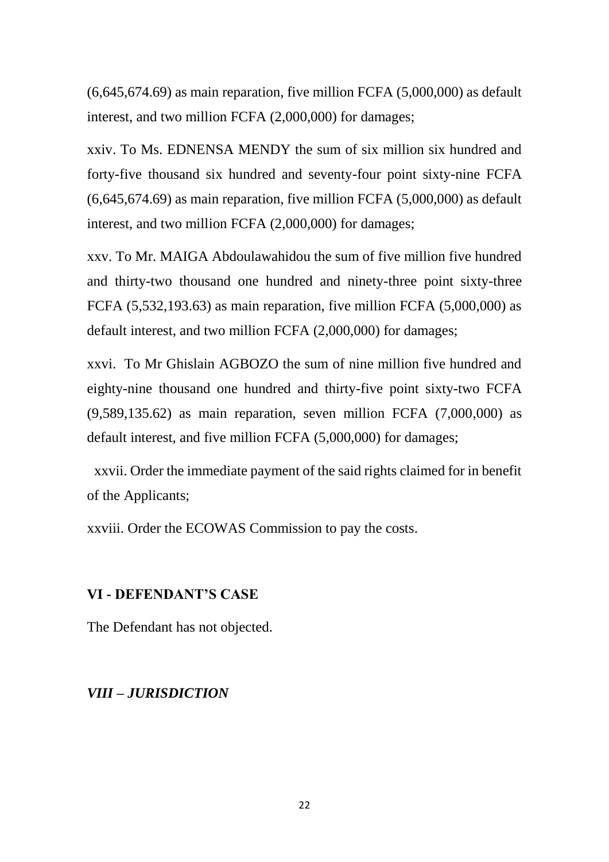$(6,645,674.69)$  as main reparation, five million FCFA  $(5,000,000)$  as default interest, and two million FCFA (2,000,000) for damages;

xxiv. To Ms. EDNENSA MENDY the sum of six million six hundred and forty-five thousand six hundred and seventy-four point sixty-nine FCFA (6,645,674.69) as main reparation, five million FCFA (5,000,000) as default interest, and two million FCFA (2,000,000) for damages;

xxv. To Mr. MAIGA Abdoulawahidou the sum of five million five hundred and thirty-two thousand one hundred and ninety-three point sixty-three FCFA (5,532,193.63) as main reparation, five million FCFA (5,000,000) as default interest, and two million FCFA (2,000,000) for damages;

xxvi. To Mr Ghislain AGBOZO the sum of nine million five hundred and eighty-nine thousand one hundred and thirty-five point sixty-two FCFA (9,589,135.62) as main reparation, seven million FCFA (7,000,000) as default interest, and five million FCFA (5,000,000) for damages;

 xxvii. Order the immediate payment of the said rights claimed for in benefit of the Applicants;

xxviii. Order the ECOWAS Commission to pay the costs.

### **VI - DEFENDANT'S CASE**

The Defendant has not objected.

### *VIII – JURISDICTION*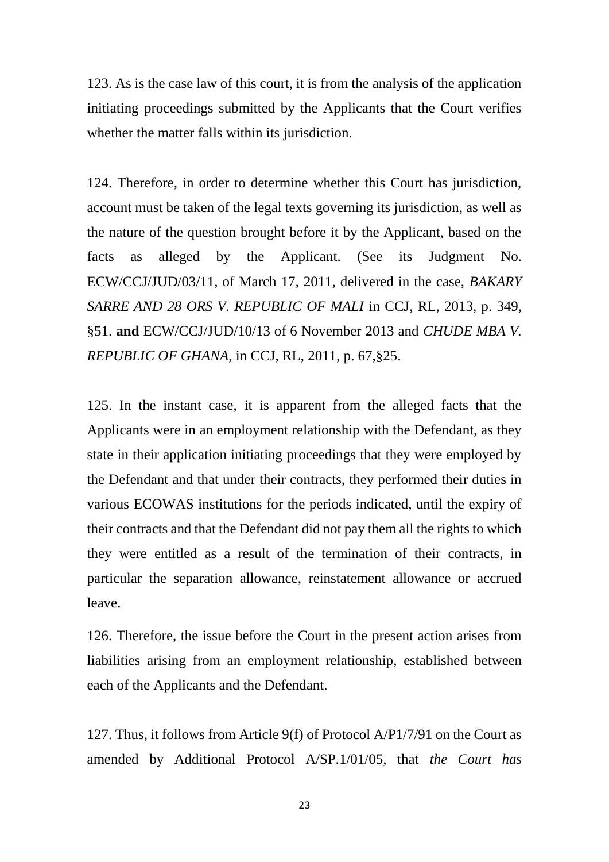123. As is the case law of this court, it is from the analysis of the application initiating proceedings submitted by the Applicants that the Court verifies whether the matter falls within its jurisdiction.

124. Therefore, in order to determine whether this Court has jurisdiction, account must be taken of the legal texts governing its jurisdiction, as well as the nature of the question brought before it by the Applicant, based on the facts as alleged by the Applicant. (See its Judgment No. ECW/CCJ/JUD/03/11, of March 17, 2011, delivered in the case, *BAKARY SARRE AND 28 ORS V. REPUBLIC OF MALI* in CCJ, RL, 2013, p. 349, §51. **and** ECW/CCJ/JUD/10/13 of 6 November 2013 and *CHUDE MBA V. REPUBLIC OF GHANA*, in CCJ, RL, 2011, p. 67,§25.

125. In the instant case, it is apparent from the alleged facts that the Applicants were in an employment relationship with the Defendant, as they state in their application initiating proceedings that they were employed by the Defendant and that under their contracts, they performed their duties in various ECOWAS institutions for the periods indicated, until the expiry of their contracts and that the Defendant did not pay them all the rights to which they were entitled as a result of the termination of their contracts, in particular the separation allowance, reinstatement allowance or accrued leave.

126. Therefore, the issue before the Court in the present action arises from liabilities arising from an employment relationship, established between each of the Applicants and the Defendant.

127. Thus, it follows from Article 9(f) of Protocol A/P1/7/91 on the Court as amended by Additional Protocol A/SP.1/01/05, that *the Court has* 

23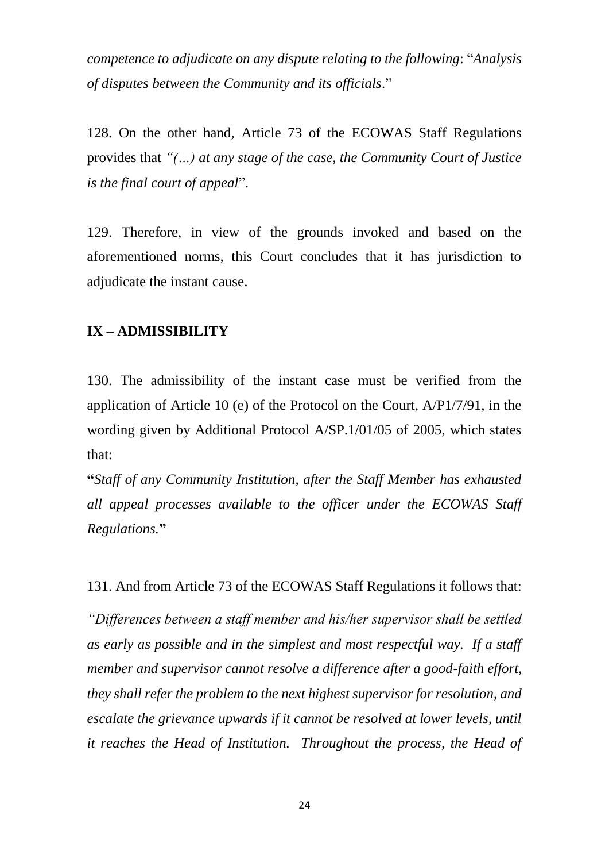*competence to adjudicate on any dispute relating to the following*: "*Analysis of disputes between the Community and its officials*."

128. On the other hand, Article 73 of the ECOWAS Staff Regulations provides that *"(…) at any stage of the case, the Community Court of Justice is the final court of appeal*".

129. Therefore, in view of the grounds invoked and based on the aforementioned norms, this Court concludes that it has jurisdiction to adjudicate the instant cause.

## **IX – ADMISSIBILITY**

130. The admissibility of the instant case must be verified from the application of Article 10 (e) of the Protocol on the Court, A/P1/7/91, in the wording given by Additional Protocol A/SP.1/01/05 of 2005, which states that:

**"***Staff of any Community Institution, after the Staff Member has exhausted all appeal processes available to the officer under the ECOWAS Staff Regulations.***"**

131. And from Article 73 of the ECOWAS Staff Regulations it follows that:

*"Differences between a staff member and his/her supervisor shall be settled as early as possible and in the simplest and most respectful way. If a staff member and supervisor cannot resolve a difference after a good-faith effort, they shall refer the problem to the next highest supervisor for resolution, and escalate the grievance upwards if it cannot be resolved at lower levels, until it reaches the Head of Institution. Throughout the process, the Head of*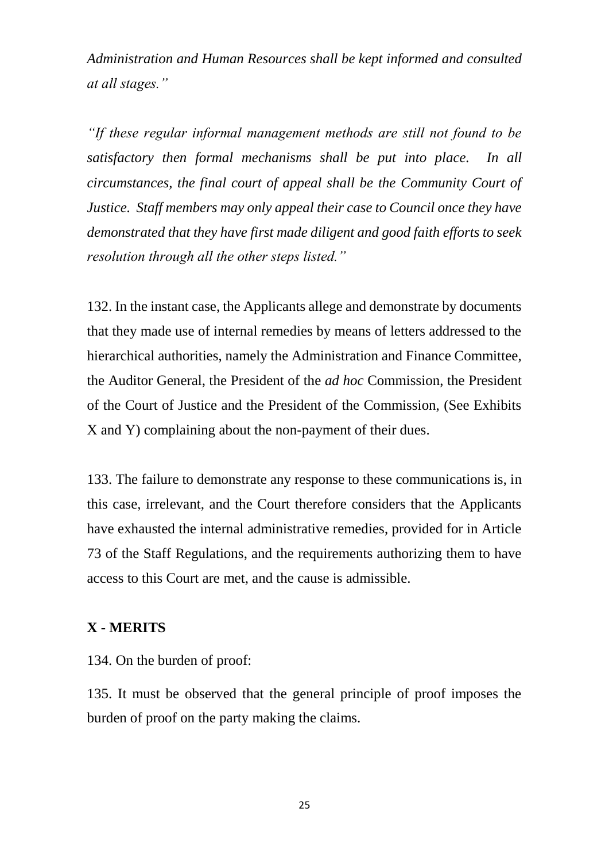*Administration and Human Resources shall be kept informed and consulted at all stages."*

*"If these regular informal management methods are still not found to be satisfactory then formal mechanisms shall be put into place. In all circumstances, the final court of appeal shall be the Community Court of Justice. Staff members may only appeal their case to Council once they have demonstrated that they have first made diligent and good faith efforts to seek resolution through all the other steps listed."*

132. In the instant case, the Applicants allege and demonstrate by documents that they made use of internal remedies by means of letters addressed to the hierarchical authorities, namely the Administration and Finance Committee, the Auditor General, the President of the *ad hoc* Commission, the President of the Court of Justice and the President of the Commission, (See Exhibits X and Y) complaining about the non-payment of their dues.

133. The failure to demonstrate any response to these communications is, in this case, irrelevant, and the Court therefore considers that the Applicants have exhausted the internal administrative remedies, provided for in Article 73 of the Staff Regulations, and the requirements authorizing them to have access to this Court are met, and the cause is admissible.

## **X - MERITS**

134. On the burden of proof:

135. It must be observed that the general principle of proof imposes the burden of proof on the party making the claims.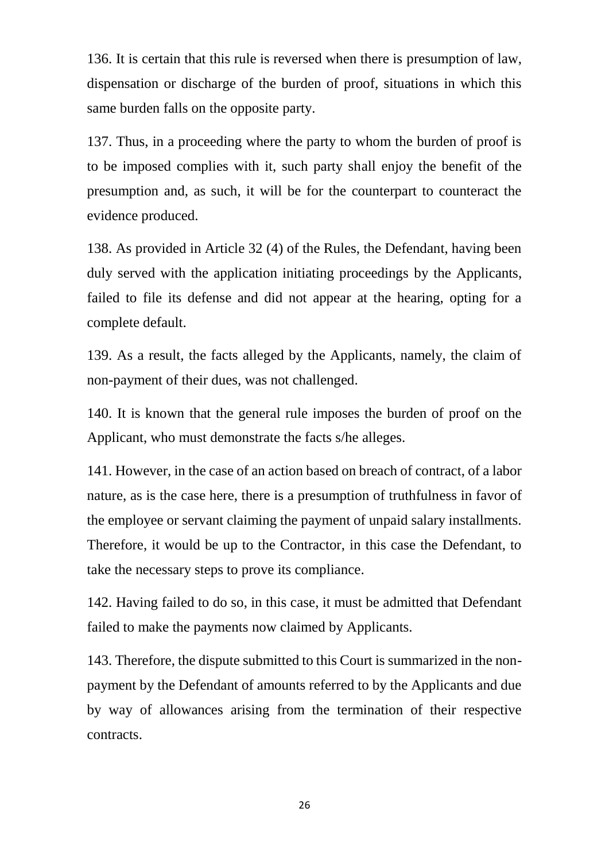136. It is certain that this rule is reversed when there is presumption of law, dispensation or discharge of the burden of proof, situations in which this same burden falls on the opposite party.

137. Thus, in a proceeding where the party to whom the burden of proof is to be imposed complies with it, such party shall enjoy the benefit of the presumption and, as such, it will be for the counterpart to counteract the evidence produced.

138. As provided in Article 32 (4) of the Rules, the Defendant, having been duly served with the application initiating proceedings by the Applicants, failed to file its defense and did not appear at the hearing, opting for a complete default.

139. As a result, the facts alleged by the Applicants, namely, the claim of non-payment of their dues, was not challenged.

140. It is known that the general rule imposes the burden of proof on the Applicant, who must demonstrate the facts s/he alleges.

141. However, in the case of an action based on breach of contract, of a labor nature, as is the case here, there is a presumption of truthfulness in favor of the employee or servant claiming the payment of unpaid salary installments. Therefore, it would be up to the Contractor, in this case the Defendant, to take the necessary steps to prove its compliance.

142. Having failed to do so, in this case, it must be admitted that Defendant failed to make the payments now claimed by Applicants.

143. Therefore, the dispute submitted to this Court is summarized in the nonpayment by the Defendant of amounts referred to by the Applicants and due by way of allowances arising from the termination of their respective contracts.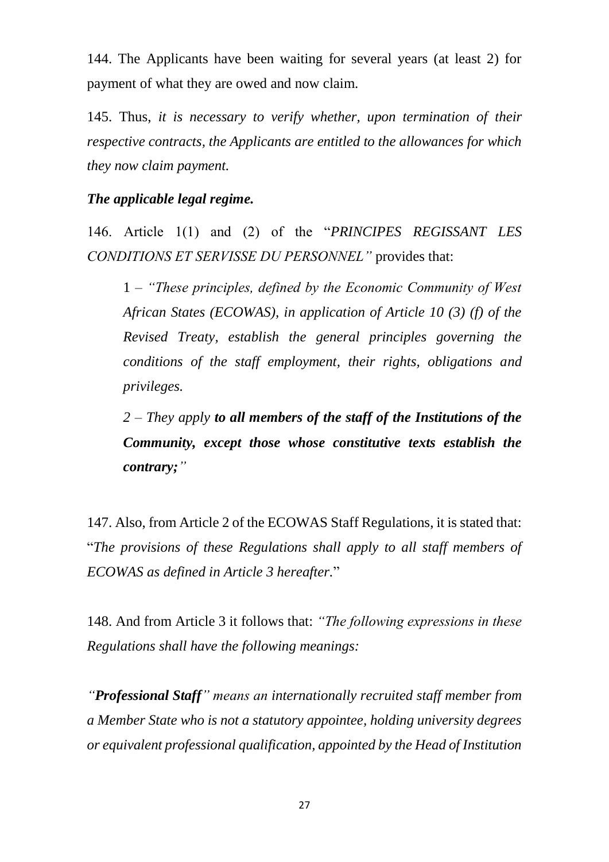144. The Applicants have been waiting for several years (at least 2) for payment of what they are owed and now claim.

145. Thus, *it is necessary to verify whether, upon termination of their respective contracts, the Applicants are entitled to the allowances for which they now claim payment.*

#### *The applicable legal regime.*

146. Article 1(1) and (2) of the "*PRINCIPES REGISSANT LES CONDITIONS ET SERVISSE DU PERSONNEL"* provides that:

1 *– "These principles, defined by the Economic Community of West African States (ECOWAS), in application of Article 10 (3) (f) of the Revised Treaty, establish the general principles governing the conditions of the staff employment, their rights, obligations and privileges.* 

*2 – They apply to all members of the staff of the Institutions of the Community, except those whose constitutive texts establish the contrary;"*

147. Also, from Article 2 of the ECOWAS Staff Regulations, it is stated that: "*The provisions of these Regulations shall apply to all staff members of ECOWAS as defined in Article 3 hereafter.*"

148. And from Article 3 it follows that: *"The following expressions in these Regulations shall have the following meanings:*

*"Professional Staff" means an internationally recruited staff member from a Member State who is not a statutory appointee, holding university degrees or equivalent professional qualification, appointed by the Head of Institution*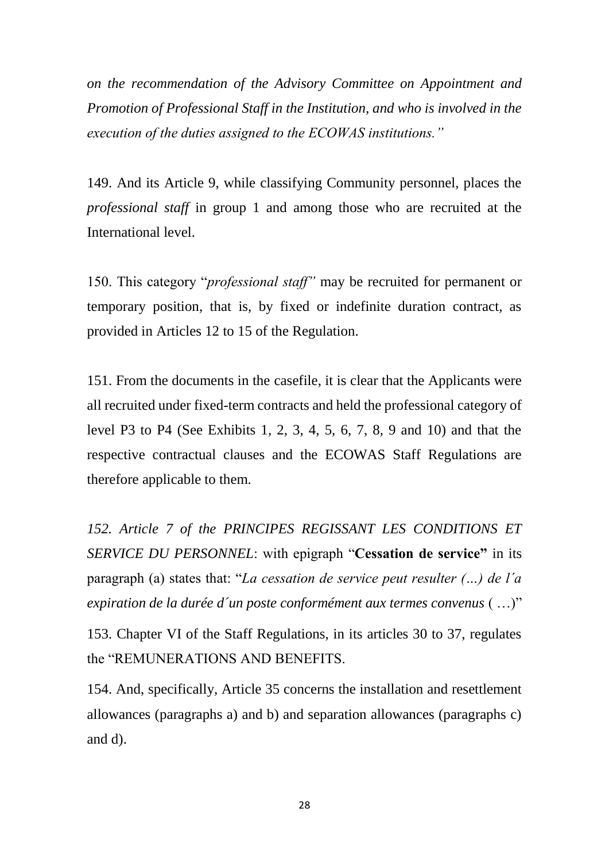*on the recommendation of the Advisory Committee on Appointment and Promotion of Professional Staff in the Institution, and who is involved in the execution of the duties assigned to the ECOWAS institutions."*

149. And its Article 9, while classifying Community personnel, places the *professional staff* in group 1 and among those who are recruited at the International level.

150. This category "*professional staff"* may be recruited for permanent or temporary position, that is, by fixed or indefinite duration contract, as provided in Articles 12 to 15 of the Regulation.

151. From the documents in the casefile, it is clear that the Applicants were all recruited under fixed-term contracts and held the professional category of level P3 to P4 (See Exhibits 1, 2, 3, 4, 5, 6, 7, 8, 9 and 10) and that the respective contractual clauses and the ECOWAS Staff Regulations are therefore applicable to them.

*152. Article 7 of the PRINCIPES REGISSANT LES CONDITIONS ET SERVICE DU PERSONNEL*: with epigraph "**Cessation de service"** in its paragraph (a) states that: "*La cessation de service peut resulter (…) de l´a expiration de la durée d´un poste conformément aux termes convenus* ( …)"

153. Chapter VI of the Staff Regulations, in its articles 30 to 37, regulates the "REMUNERATIONS AND BENEFITS.

154. And, specifically, Article 35 concerns the installation and resettlement allowances (paragraphs a) and b) and separation allowances (paragraphs c) and d).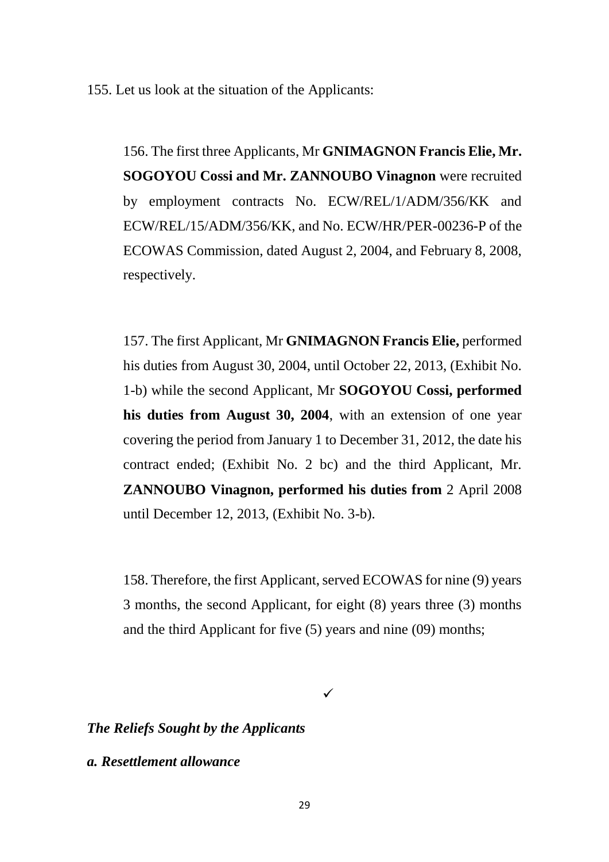155. Let us look at the situation of the Applicants:

156. The first three Applicants, Mr **GNIMAGNON Francis Elie, Mr. SOGOYOU Cossi and Mr. ZANNOUBO Vinagnon** were recruited by employment contracts No. ECW/REL/1/ADM/356/KK and ECW/REL/15/ADM/356/KK, and No. ECW/HR/PER-00236-P of the ECOWAS Commission, dated August 2, 2004, and February 8, 2008, respectively.

157. The first Applicant, Mr **GNIMAGNON Francis Elie,** performed his duties from August 30, 2004, until October 22, 2013, (Exhibit No. 1-b) while the second Applicant, Mr **SOGOYOU Cossi, performed his duties from August 30, 2004**, with an extension of one year covering the period from January 1 to December 31, 2012, the date his contract ended; (Exhibit No. 2 bc) and the third Applicant, Mr. **ZANNOUBO Vinagnon, performed his duties from** 2 April 2008 until December 12, 2013, (Exhibit No. 3-b).

158. Therefore, the first Applicant, served ECOWAS for nine (9) years 3 months, the second Applicant, for eight (8) years three (3) months and the third Applicant for five (5) years and nine (09) months;

 $\checkmark$ 

*The Reliefs Sought by the Applicants* 

*a. Resettlement allowance*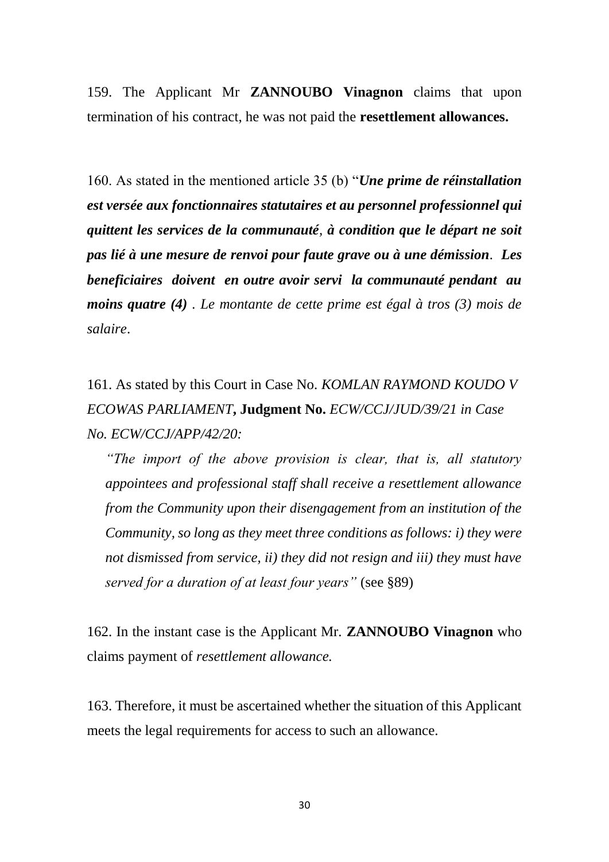159. The Applicant Mr **ZANNOUBO Vinagnon** claims that upon termination of his contract, he was not paid the **resettlement allowances.**

160. As stated in the mentioned article 35 (b) "*Une prime de réinstallation est versée aux fonctionnaires statutaires et au personnel professionnel qui quittent les services de la communauté, à condition que le départ ne soit pas lié à une mesure de renvoi pour faute grave ou à une démission. Les beneficiaires doivent en outre avoir servi la communauté pendant au moins quatre (4) . Le montante de cette prime est égal à tros (3) mois de salaire*.

161. As stated by this Court in Case No. *KOMLAN RAYMOND KOUDO V ECOWAS PARLIAMENT***, Judgment No.** *ECW/CCJ/JUD/39/21 in Case No. ECW/CCJ/APP/42/20:*

*"The import of the above provision is clear, that is, all statutory appointees and professional staff shall receive a resettlement allowance from the Community upon their disengagement from an institution of the Community, so long as they meet three conditions as follows: i) they were not dismissed from service, ii) they did not resign and iii) they must have served for a duration of at least four years"* (see §89)

162. In the instant case is the Applicant Mr. **ZANNOUBO Vinagnon** who claims payment of *resettlement allowance.*

163. Therefore, it must be ascertained whether the situation of this Applicant meets the legal requirements for access to such an allowance.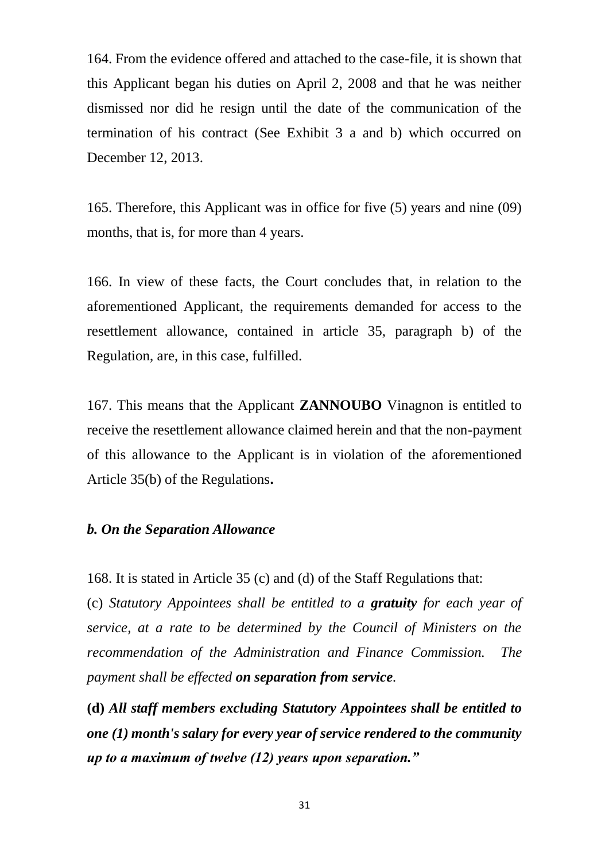164. From the evidence offered and attached to the case-file, it is shown that this Applicant began his duties on April 2, 2008 and that he was neither dismissed nor did he resign until the date of the communication of the termination of his contract (See Exhibit 3 a and b) which occurred on December 12, 2013.

165. Therefore, this Applicant was in office for five (5) years and nine (09) months, that is, for more than 4 years.

166. In view of these facts, the Court concludes that, in relation to the aforementioned Applicant, the requirements demanded for access to the resettlement allowance, contained in article 35, paragraph b) of the Regulation, are, in this case, fulfilled.

167. This means that the Applicant **ZANNOUBO** Vinagnon is entitled to receive the resettlement allowance claimed herein and that the non-payment of this allowance to the Applicant is in violation of the aforementioned Article 35(b) of the Regulations**.**

#### *b. On the Separation Allowance*

168. It is stated in Article 35 (c) and (d) of the Staff Regulations that:

(c) *Statutory Appointees shall be entitled to a gratuity for each year of service, at a rate to be determined by the Council of Ministers on the recommendation of the Administration and Finance Commission. The payment shall be effected on separation from service.*

**(d)** *All staff members excluding Statutory Appointees shall be entitled to one (1) month's salary for every year of service rendered to the community up to a maximum of twelve (12) years upon separation."*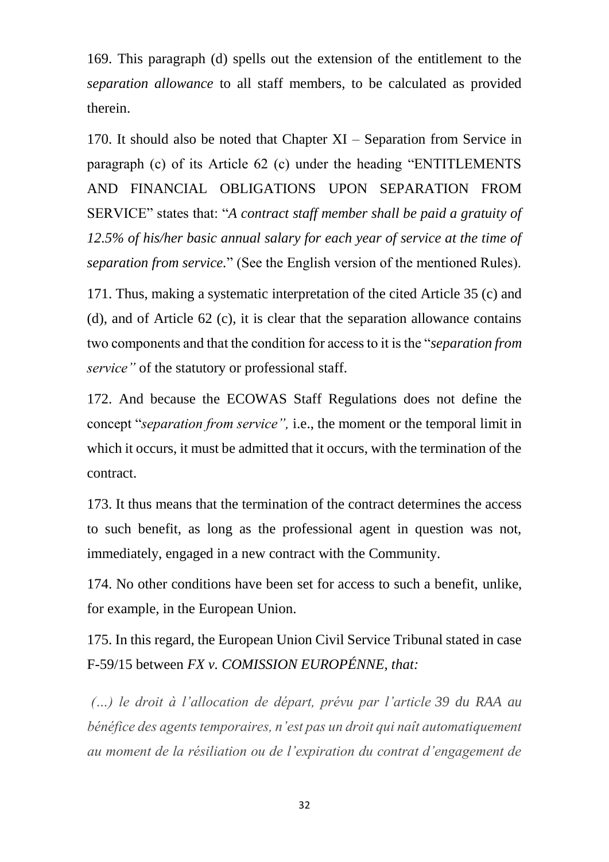169. This paragraph (d) spells out the extension of the entitlement to the *separation allowance* to all staff members, to be calculated as provided therein.

170. It should also be noted that Chapter XI – Separation from Service in paragraph (c) of its Article 62 (c) under the heading "ENTITLEMENTS AND FINANCIAL OBLIGATIONS UPON SEPARATION FROM SERVICE" states that: "*A contract staff member shall be paid a gratuity of 12.5% of his/her basic annual salary for each year of service at the time of separation from service.*" (See the English version of the mentioned Rules).

171. Thus, making a systematic interpretation of the cited Article 35 (c) and (d), and of Article 62 (c), it is clear that the separation allowance contains two components and that the condition for access to it is the "*separation from service"* of the statutory or professional staff.

172. And because the ECOWAS Staff Regulations does not define the concept "*separation from service",* i.e., the moment or the temporal limit in which it occurs, it must be admitted that it occurs, with the termination of the contract.

173. It thus means that the termination of the contract determines the access to such benefit, as long as the professional agent in question was not, immediately, engaged in a new contract with the Community.

174. No other conditions have been set for access to such a benefit, unlike, for example, in the European Union.

175. In this regard, the European Union Civil Service Tribunal stated in case F-59/15 between *FX v. COMISSION EUROPÉNNE, that:* 

*(…) le droit à l'allocation de départ, prévu par l'article 39 du RAA au bénéfice des agents temporaires, n'est pas un droit qui naît automatiquement au moment de la résiliation ou de l'expiration du contrat d'engagement de*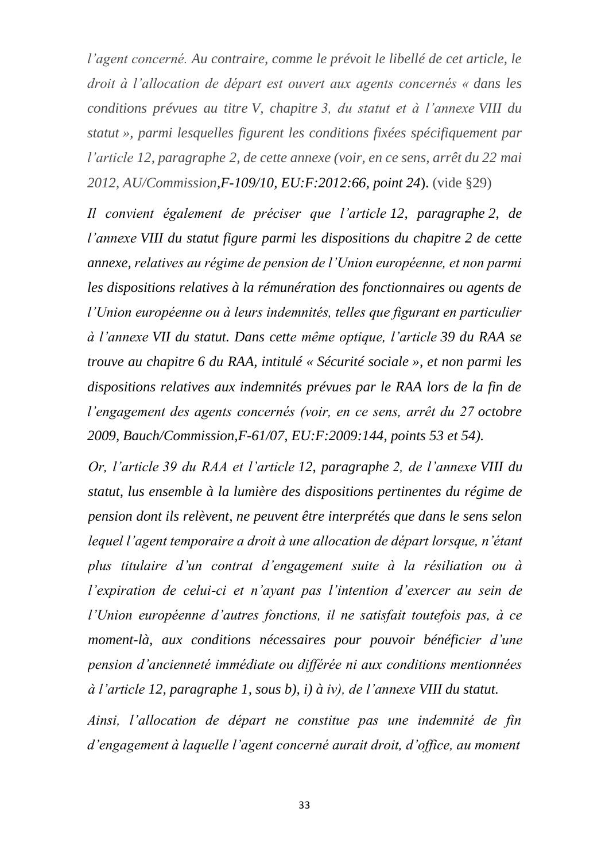*l'agent concerné. Au contraire, comme le prévoit le libellé de cet article, le droit à l'allocation de départ est ouvert aux agents concernés « dans les conditions prévues au titre V, chapitre 3, du statut et à l'annexe VIII du statut », parmi lesquelles figurent les conditions fixées spécifiquement par l'article 12, paragraphe 2, de cette annexe (voir, en ce sens, arrêt du 22 mai 2012, AU/Commission[,F-109/10,](https://eur-lex.europa.eu/legal-content/PT/AUTO/?uri=ecli:ECLI%3AEU%3AF%3A2012%3A66&locale=fr) [EU:F:2012:66,](https://eur-lex.europa.eu/legal-content/redirect/?urn=ecli:ECLI%3AEU%3AF%3A2012%3A66&lang=pt&format=pdf&target=CourtTab) point [24](https://eur-lex.europa.eu/legal-content/redirect/?urn=ecli:ECLI%3AEU%3AF%3A2012%3A66&lang=pt&format=html&target=CourtTab&anchor=#point24)*). (vide §29)

*Il convient également de préciser que l'article 12, paragraphe 2, de l'annexe VIII du statut figure parmi les dispositions du chapitre 2 de cette annexe, relatives au régime de pension de l'Union européenne, et non parmi les dispositions relatives à la rémunération des fonctionnaires ou agents de l'Union européenne ou à leurs indemnités, telles que figurant en particulier à l'annexe VII du statut. Dans cette même optique, l'article 39 du RAA se trouve au chapitre 6 du RAA, intitulé « Sécurité sociale », et non parmi les dispositions relatives aux indemnités prévues par le RAA lors de la fin de l'engagement des agents concernés (voir, en ce sens, arrêt du 27 octobre 2009, Bauch/Commission[,F-61/07,](https://eur-lex.europa.eu/legal-content/PT/AUTO/?uri=ecli:ECLI%3AEU%3AF%3A2009%3A144&locale=fr) [EU:F:2009:144,](https://eur-lex.europa.eu/legal-content/redirect/?urn=ecli:ECLI%3AEU%3AF%3A2009%3A144&lang=pt&format=pdf&target=CourtTab) points [53](https://eur-lex.europa.eu/legal-content/redirect/?urn=ecli:ECLI%3AEU%3AF%3A2009%3A144&lang=pt&format=html&target=CourtTab&anchor=#point53) et [54\)](https://eur-lex.europa.eu/legal-content/redirect/?urn=ecli:ECLI%3AEU%3AF%3A2009%3A144&lang=pt&format=html&target=CourtTab&anchor=#point54).*

*Or, l'article 39 du RAA et l'article 12, paragraphe 2, de l'annexe VIII du statut, lus ensemble à la lumière des dispositions pertinentes du régime de pension dont ils relèvent, ne peuvent être interprétés que dans le sens selon lequel l'agent temporaire a droit à une allocation de départ lorsque, n'étant plus titulaire d'un contrat d'engagement suite à la résiliation ou à l'expiration de celui-ci et n'ayant pas l'intention d'exercer au sein de l'Union européenne d'autres fonctions, il ne satisfait toutefois pas, à ce moment-là, aux conditions nécessaires pour pouvoir bénéficier d'une pension d'ancienneté immédiate ou différée ni aux conditions mentionnées à l'article 12, paragraphe 1, sous b), i) à iv), de l'annexe VIII du statut.*

*Ainsi, l'allocation de départ ne constitue pas une indemnité de fin d'engagement à laquelle l'agent concerné aurait droit, d'office, au moment*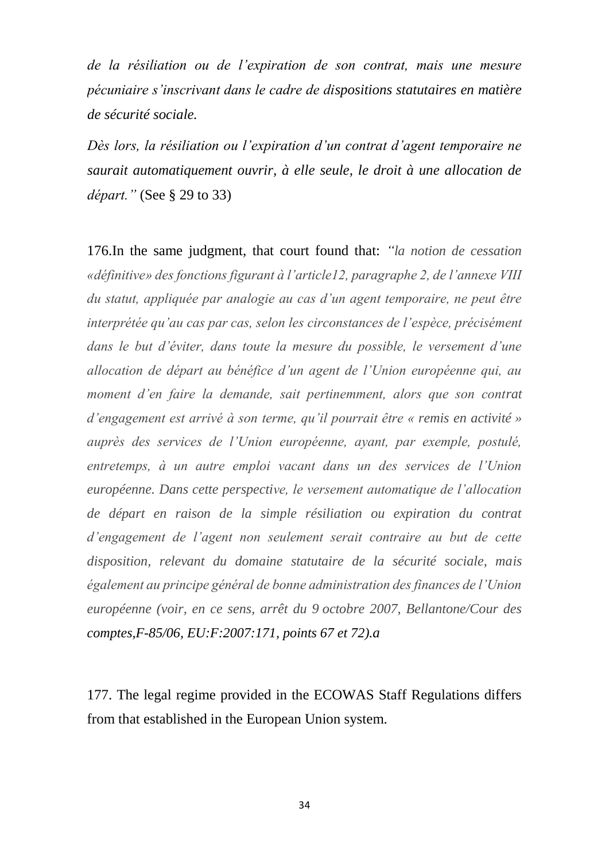*de la résiliation ou de l'expiration de son contrat, mais une mesure pécuniaire s'inscrivant dans le cadre de dispositions statutaires en matière de sécurité sociale.*

*Dès lors, la résiliation ou l'expiration d'un contrat d'agent temporaire ne saurait automatiquement ouvrir, à elle seule, le droit à une allocation de départ."* (See § 29 to 33)

176.In the same judgment, that court found that: *"la notion de cessation «définitive» des fonctions figurant à l'article12, paragraphe 2, de l'annexe VIII du statut, appliquée par analogie au cas d'un agent temporaire, ne peut être interprétée qu'au cas par cas, selon les circonstances de l'espèce, précisément dans le but d'éviter, dans toute la mesure du possible, le versement d'une allocation de départ au bénéfice d'un agent de l'Union européenne qui, au moment d'en faire la demande, sait pertinemment, alors que son contrat d'engagement est arrivé à son terme, qu'il pourrait être « remis en activité » auprès des services de l'Union européenne, ayant, par exemple, postulé, entretemps, à un autre emploi vacant dans un des services de l'Union européenne. Dans cette perspective, le versement automatique de l'allocation de départ en raison de la simple résiliation ou expiration du contrat d'engagement de l'agent non seulement serait contraire au but de cette disposition, relevant du domaine statutaire de la sécurité sociale, mais également au principe général de bonne administration des finances de l'Union européenne (voir, en ce sens, arrêt du 9 octobre 2007, Bellantone/Cour des comptes[,F-85/06,](https://eur-lex.europa.eu/legal-content/PT/AUTO/?uri=ecli:ECLI%3AEU%3AF%3A2007%3A171&locale=fr) [EU:F:2007:171,](https://eur-lex.europa.eu/legal-content/redirect/?urn=ecli:ECLI%3AEU%3AF%3A2007%3A171&lang=pt&format=pdf&target=CourtTab) points [67](https://eur-lex.europa.eu/legal-content/redirect/?urn=ecli:ECLI%3AEU%3AF%3A2007%3A171&lang=pt&format=html&target=CourtTab&anchor=#point67) et [72\)](https://eur-lex.europa.eu/legal-content/redirect/?urn=ecli:ECLI%3AEU%3AF%3A2007%3A171&lang=pt&format=html&target=CourtTab&anchor=#point72).a* 

177. The legal regime provided in the ECOWAS Staff Regulations differs from that established in the European Union system.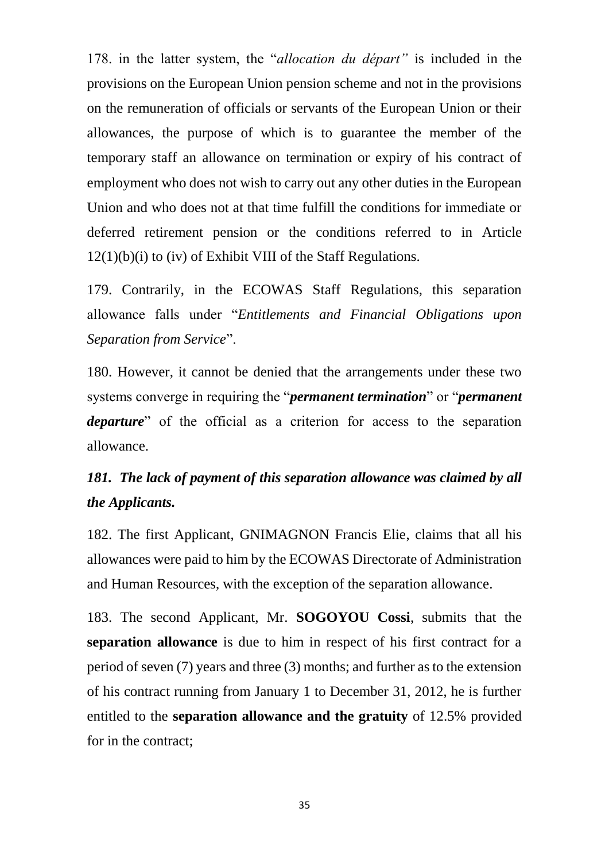178. in the latter system, the "*allocation du départ"* is included in the provisions on the European Union pension scheme and not in the provisions on the remuneration of officials or servants of the European Union or their allowances, the purpose of which is to guarantee the member of the temporary staff an allowance on termination or expiry of his contract of employment who does not wish to carry out any other duties in the European Union and who does not at that time fulfill the conditions for immediate or deferred retirement pension or the conditions referred to in Article 12(1)(b)(i) to (iv) of Exhibit VIII of the Staff Regulations.

179. Contrarily, in the ECOWAS Staff Regulations, this separation allowance falls under "*Entitlements and Financial Obligations upon Separation from Service*".

180. However, it cannot be denied that the arrangements under these two systems converge in requiring the "*permanent termination*" or "*permanent departure*" of the official as a criterion for access to the separation allowance.

# *181. The lack of payment of this separation allowance was claimed by all the Applicants.*

182. The first Applicant, GNIMAGNON Francis Elie, claims that all his allowances were paid to him by the ECOWAS Directorate of Administration and Human Resources, with the exception of the separation allowance.

183. The second Applicant, Mr. **SOGOYOU Cossi**, submits that the **separation allowance** is due to him in respect of his first contract for a period of seven (7) years and three (3) months; and further as to the extension of his contract running from January 1 to December 31, 2012, he is further entitled to the **separation allowance and the gratuity** of 12.5% provided for in the contract;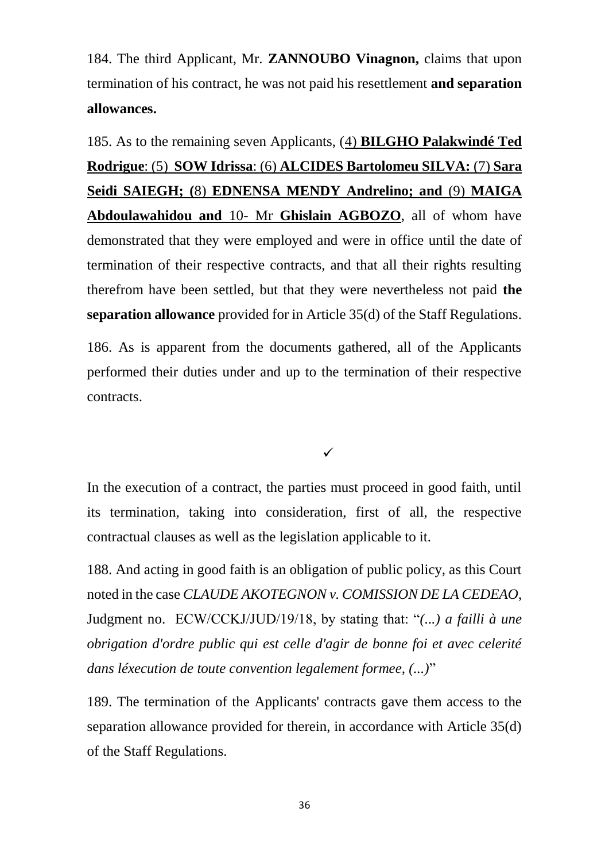184. The third Applicant, Mr. **ZANNOUBO Vinagnon,** claims that upon termination of his contract, he was not paid his resettlement **and separation allowances.** 

185. As to the remaining seven Applicants, (4) **BILGHO Palakwindé Ted Rodrigue**: (5) **SOW Idrissa**: (6) **ALCIDES Bartolomeu SILVA:** (7) **Sara Seidi SAIEGH; (**8) **EDNENSA MENDY Andrelino; and** (9) **MAIGA Abdoulawahidou and** 10- Mr **Ghislain AGBOZO**, all of whom have demonstrated that they were employed and were in office until the date of termination of their respective contracts, and that all their rights resulting therefrom have been settled, but that they were nevertheless not paid **the separation allowance** provided for in Article 35(d) of the Staff Regulations.

186. As is apparent from the documents gathered, all of the Applicants performed their duties under and up to the termination of their respective contracts.

 $\checkmark$ 

In the execution of a contract, the parties must proceed in good faith, until its termination, taking into consideration, first of all, the respective contractual clauses as well as the legislation applicable to it.

188. And acting in good faith is an obligation of public policy, as this Court noted in the case *CLAUDE AKOTEGNON v. COMISSION DE LA CEDEAO*, Judgment no. ECW/CCKJ/JUD/19/18, by stating that: "*(...) a failli à une obrigation d'ordre public qui est celle d'agir de bonne foi et avec celerité dans léxecution de toute convention legalement formee, (...)*"

189. The termination of the Applicants' contracts gave them access to the separation allowance provided for therein, in accordance with Article 35(d) of the Staff Regulations.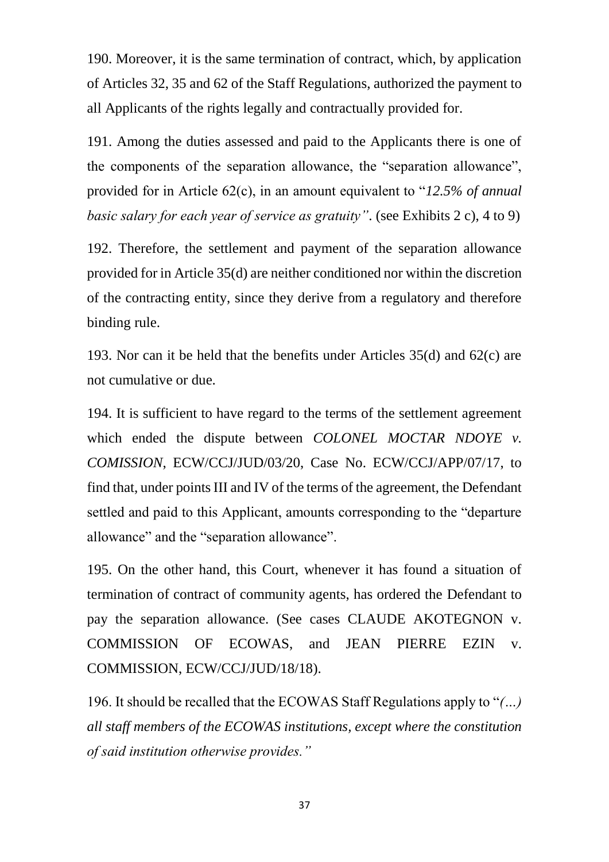190. Moreover, it is the same termination of contract, which, by application of Articles 32, 35 and 62 of the Staff Regulations, authorized the payment to all Applicants of the rights legally and contractually provided for.

191. Among the duties assessed and paid to the Applicants there is one of the components of the separation allowance, the "separation allowance", provided for in Article 62(c), in an amount equivalent to "*12.5% of annual basic salary for each year of service as gratuity"*. (see Exhibits 2 c), 4 to 9)

192. Therefore, the settlement and payment of the separation allowance provided for in Article 35(d) are neither conditioned nor within the discretion of the contracting entity, since they derive from a regulatory and therefore binding rule.

193. Nor can it be held that the benefits under Articles 35(d) and 62(c) are not cumulative or due.

194. It is sufficient to have regard to the terms of the settlement agreement which ended the dispute between *COLONEL MOCTAR NDOYE v. COMISSION*, ECW/CCJ/JUD/03/20, Case No. ECW/CCJ/APP/07/17, to find that, under points III and IV of the terms of the agreement, the Defendant settled and paid to this Applicant, amounts corresponding to the "departure allowance" and the "separation allowance".

195. On the other hand, this Court, whenever it has found a situation of termination of contract of community agents, has ordered the Defendant to pay the separation allowance. (See cases CLAUDE AKOTEGNON v. COMMISSION OF ECOWAS, and JEAN PIERRE EZIN v. COMMISSION, ECW/CCJ/JUD/18/18).

196. It should be recalled that the ECOWAS Staff Regulations apply to "*(…) all staff members of the ECOWAS institutions, except where the constitution of said institution otherwise provides."*

37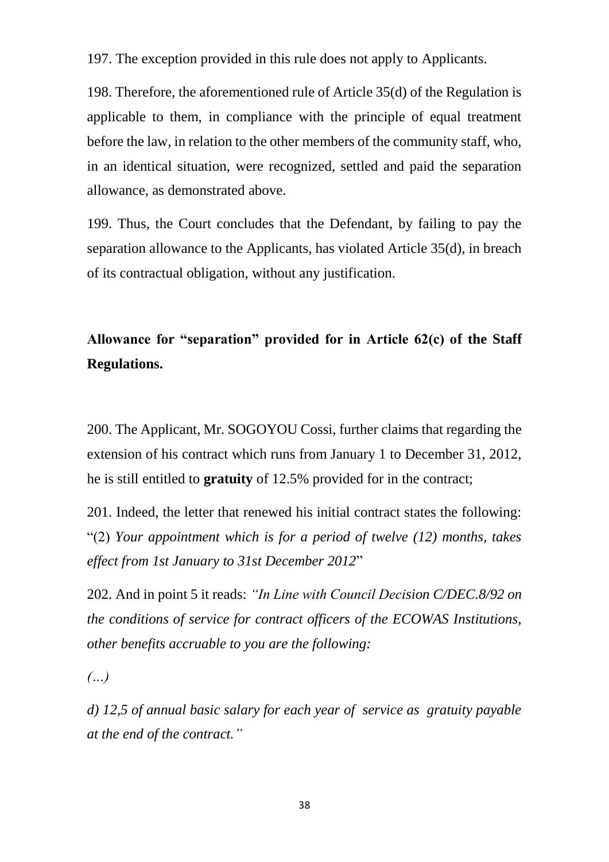197. The exception provided in this rule does not apply to Applicants.

198. Therefore, the aforementioned rule of Article 35(d) of the Regulation is applicable to them, in compliance with the principle of equal treatment before the law, in relation to the other members of the community staff, who, in an identical situation, were recognized, settled and paid the separation allowance, as demonstrated above.

199. Thus, the Court concludes that the Defendant, by failing to pay the separation allowance to the Applicants, has violated Article 35(d), in breach of its contractual obligation, without any justification.

# **Allowance for "separation" provided for in Article 62(c) of the Staff Regulations.**

200. The Applicant, Mr. SOGOYOU Cossi, further claims that regarding the extension of his contract which runs from January 1 to December 31, 2012, he is still entitled to **gratuity** of 12.5% provided for in the contract;

201. Indeed, the letter that renewed his initial contract states the following: "(2) *Your appointment which is for a period of twelve (12) months, takes effect from 1st January to 31st December 2012*"

202. And in point 5 it reads: *"In Line with Council Decision C/DEC.8/92 on the conditions of service for contract officers of the ECOWAS Institutions, other benefits accruable to you are the following:* 

*(…)*

*d) 12,5 of annual basic salary for each year of service as gratuity payable at the end of the contract."*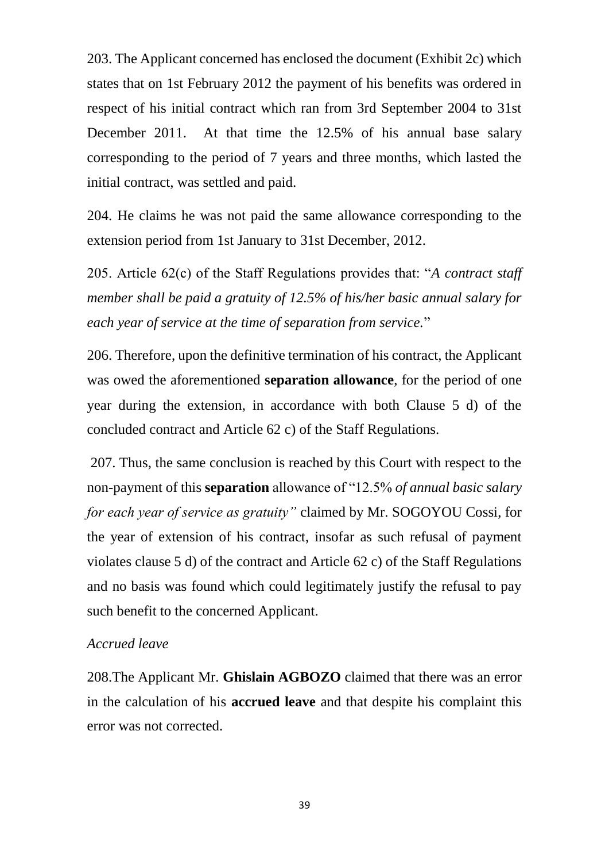203. The Applicant concerned has enclosed the document (Exhibit 2c) which states that on 1st February 2012 the payment of his benefits was ordered in respect of his initial contract which ran from 3rd September 2004 to 31st December 2011. At that time the 12.5% of his annual base salary corresponding to the period of 7 years and three months, which lasted the initial contract, was settled and paid.

204. He claims he was not paid the same allowance corresponding to the extension period from 1st January to 31st December, 2012.

205. Article 62(c) of the Staff Regulations provides that: "*A contract staff member shall be paid a gratuity of 12.5% of his/her basic annual salary for each year of service at the time of separation from service.*"

206. Therefore, upon the definitive termination of his contract, the Applicant was owed the aforementioned **separation allowance**, for the period of one year during the extension, in accordance with both Clause 5 d) of the concluded contract and Article 62 c) of the Staff Regulations.

207. Thus, the same conclusion is reached by this Court with respect to the non-payment of this **separation** allowance of "12.5% *of annual basic salary for each year of service as gratuity"* claimed by Mr. SOGOYOU Cossi, for the year of extension of his contract, insofar as such refusal of payment violates clause 5 d) of the contract and Article 62 c) of the Staff Regulations and no basis was found which could legitimately justify the refusal to pay such benefit to the concerned Applicant.

### *Accrued leave*

208.The Applicant Mr. **Ghislain AGBOZO** claimed that there was an error in the calculation of his **accrued leave** and that despite his complaint this error was not corrected.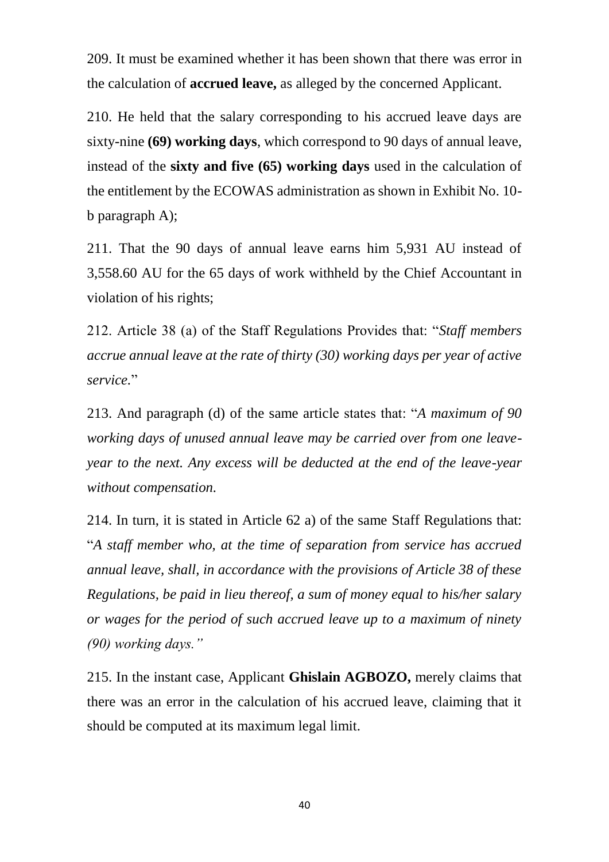209. It must be examined whether it has been shown that there was error in the calculation of **accrued leave,** as alleged by the concerned Applicant.

210. He held that the salary corresponding to his accrued leave days are sixty-nine **(69) working days**, which correspond to 90 days of annual leave, instead of the **sixty and five (65) working days** used in the calculation of the entitlement by the ECOWAS administration as shown in Exhibit No. 10 b paragraph A);

211. That the 90 days of annual leave earns him 5,931 AU instead of 3,558.60 AU for the 65 days of work withheld by the Chief Accountant in violation of his rights;

212. Article 38 (a) of the Staff Regulations Provides that: "*Staff members accrue annual leave at the rate of thirty (30) working days per year of active service.*"

213. And paragraph (d) of the same article states that: "*A maximum of 90 working days of unused annual leave may be carried over from one leaveyear to the next. Any excess will be deducted at the end of the leave-year without compensation.*

214. In turn, it is stated in Article 62 a) of the same Staff Regulations that: "*A staff member who, at the time of separation from service has accrued annual leave, shall, in accordance with the provisions of Article 38 of these Regulations, be paid in lieu thereof, a sum of money equal to his/her salary or wages for the period of such accrued leave up to a maximum of ninety (90) working days."*

215. In the instant case, Applicant **Ghislain AGBOZO,** merely claims that there was an error in the calculation of his accrued leave, claiming that it should be computed at its maximum legal limit.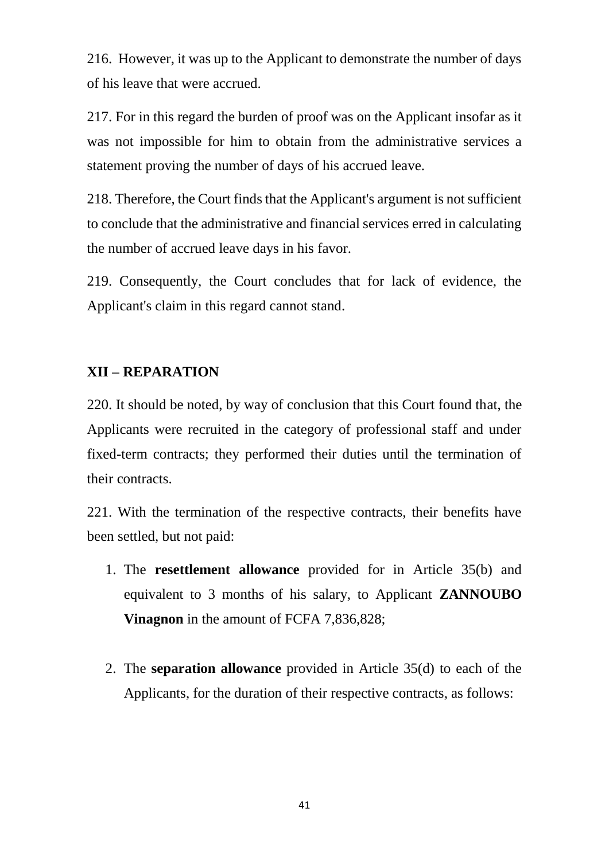216. However, it was up to the Applicant to demonstrate the number of days of his leave that were accrued.

217. For in this regard the burden of proof was on the Applicant insofar as it was not impossible for him to obtain from the administrative services a statement proving the number of days of his accrued leave.

218. Therefore, the Court finds that the Applicant's argument is not sufficient to conclude that the administrative and financial services erred in calculating the number of accrued leave days in his favor.

219. Consequently, the Court concludes that for lack of evidence, the Applicant's claim in this regard cannot stand.

## **XII – REPARATION**

220. It should be noted, by way of conclusion that this Court found that, the Applicants were recruited in the category of professional staff and under fixed-term contracts; they performed their duties until the termination of their contracts.

221. With the termination of the respective contracts, their benefits have been settled, but not paid:

- 1. The **resettlement allowance** provided for in Article 35(b) and equivalent to 3 months of his salary, to Applicant **ZANNOUBO Vinagnon** in the amount of FCFA 7,836,828;
- 2. The **separation allowance** provided in Article 35(d) to each of the Applicants, for the duration of their respective contracts, as follows: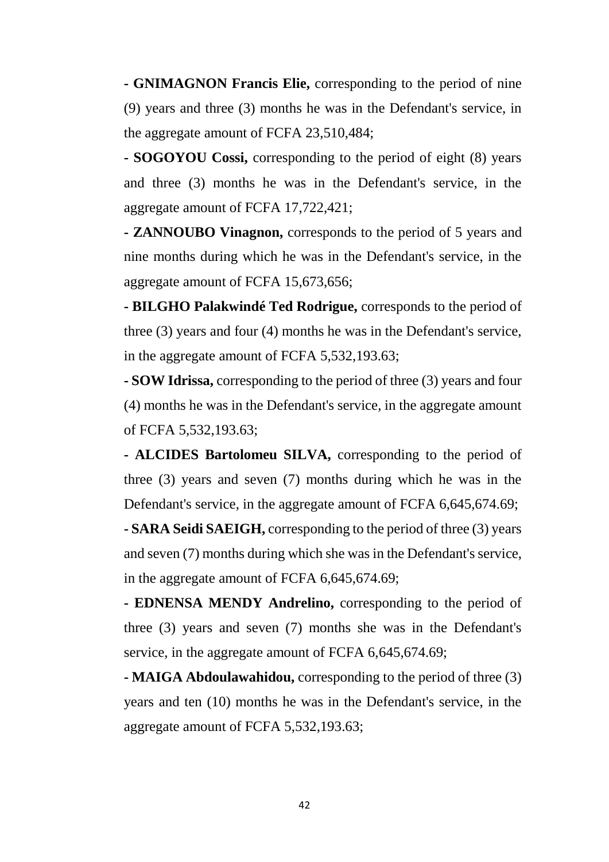**- GNIMAGNON Francis Elie,** corresponding to the period of nine (9) years and three (3) months he was in the Defendant's service, in the aggregate amount of FCFA 23,510,484;

**- SOGOYOU Cossi,** corresponding to the period of eight (8) years and three (3) months he was in the Defendant's service, in the aggregate amount of FCFA 17,722,421;

**- ZANNOUBO Vinagnon,** corresponds to the period of 5 years and nine months during which he was in the Defendant's service, in the aggregate amount of FCFA 15,673,656;

**- BILGHO Palakwindé Ted Rodrigue,** corresponds to the period of three (3) years and four (4) months he was in the Defendant's service, in the aggregate amount of FCFA 5,532,193.63;

**- SOW Idrissa,** corresponding to the period of three (3) years and four (4) months he was in the Defendant's service, in the aggregate amount of FCFA 5,532,193.63;

**- ALCIDES Bartolomeu SILVA,** corresponding to the period of three (3) years and seven (7) months during which he was in the Defendant's service, in the aggregate amount of FCFA 6,645,674.69;

**- SARA Seidi SAEIGH,** corresponding to the period of three (3) years and seven (7) months during which she was in the Defendant's service, in the aggregate amount of FCFA 6,645,674.69;

**- EDNENSA MENDY Andrelino,** corresponding to the period of three (3) years and seven (7) months she was in the Defendant's service, in the aggregate amount of FCFA 6,645,674.69;

**- MAIGA Abdoulawahidou,** corresponding to the period of three (3) years and ten (10) months he was in the Defendant's service, in the aggregate amount of FCFA 5,532,193.63;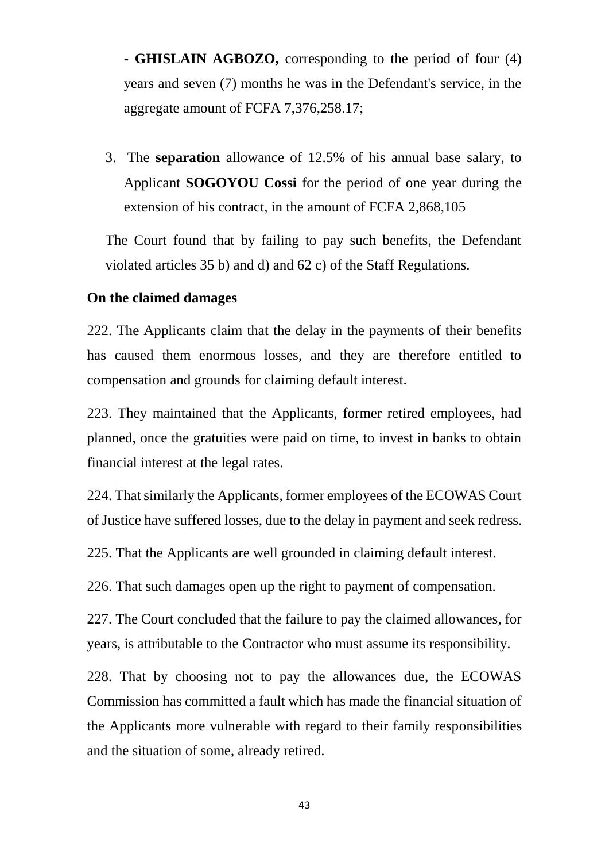- **- GHISLAIN AGBOZO,** corresponding to the period of four (4) years and seven (7) months he was in the Defendant's service, in the aggregate amount of FCFA 7,376,258.17;
- 3. The **separation** allowance of 12.5% of his annual base salary, to Applicant **SOGOYOU Cossi** for the period of one year during the extension of his contract, in the amount of FCFA 2,868,105

The Court found that by failing to pay such benefits, the Defendant violated articles 35 b) and d) and 62 c) of the Staff Regulations.

### **On the claimed damages**

222. The Applicants claim that the delay in the payments of their benefits has caused them enormous losses, and they are therefore entitled to compensation and grounds for claiming default interest.

223. They maintained that the Applicants, former retired employees, had planned, once the gratuities were paid on time, to invest in banks to obtain financial interest at the legal rates.

224. That similarly the Applicants, former employees of the ECOWAS Court of Justice have suffered losses, due to the delay in payment and seek redress.

225. That the Applicants are well grounded in claiming default interest.

226. That such damages open up the right to payment of compensation.

227. The Court concluded that the failure to pay the claimed allowances, for years, is attributable to the Contractor who must assume its responsibility.

228. That by choosing not to pay the allowances due, the ECOWAS Commission has committed a fault which has made the financial situation of the Applicants more vulnerable with regard to their family responsibilities and the situation of some, already retired.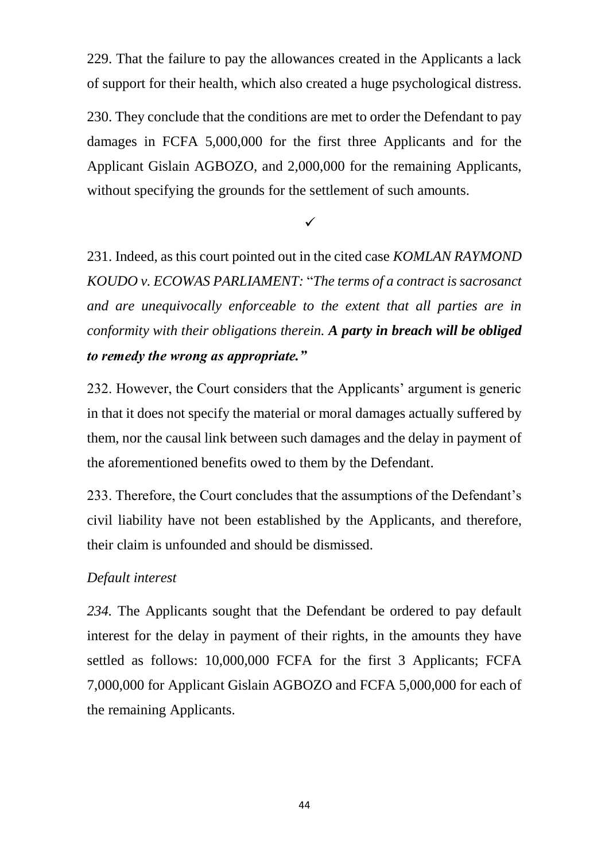229. That the failure to pay the allowances created in the Applicants a lack of support for their health, which also created a huge psychological distress.

230. They conclude that the conditions are met to order the Defendant to pay damages in FCFA 5,000,000 for the first three Applicants and for the Applicant Gislain AGBOZO, and 2,000,000 for the remaining Applicants, without specifying the grounds for the settlement of such amounts.

 $\checkmark$ 

231. Indeed, as this court pointed out in the cited case *KOMLAN RAYMOND KOUDO v. ECOWAS PARLIAMENT:* "*The terms of a contract is sacrosanct and are unequivocally enforceable to the extent that all parties are in conformity with their obligations therein. A party in breach will be obliged to remedy the wrong as appropriate."*

232. However, the Court considers that the Applicants' argument is generic in that it does not specify the material or moral damages actually suffered by them, nor the causal link between such damages and the delay in payment of the aforementioned benefits owed to them by the Defendant.

233. Therefore, the Court concludes that the assumptions of the Defendant's civil liability have not been established by the Applicants, and therefore, their claim is unfounded and should be dismissed.

## *Default interest*

*234.* The Applicants sought that the Defendant be ordered to pay default interest for the delay in payment of their rights, in the amounts they have settled as follows: 10,000,000 FCFA for the first 3 Applicants; FCFA 7,000,000 for Applicant Gislain AGBOZO and FCFA 5,000,000 for each of the remaining Applicants.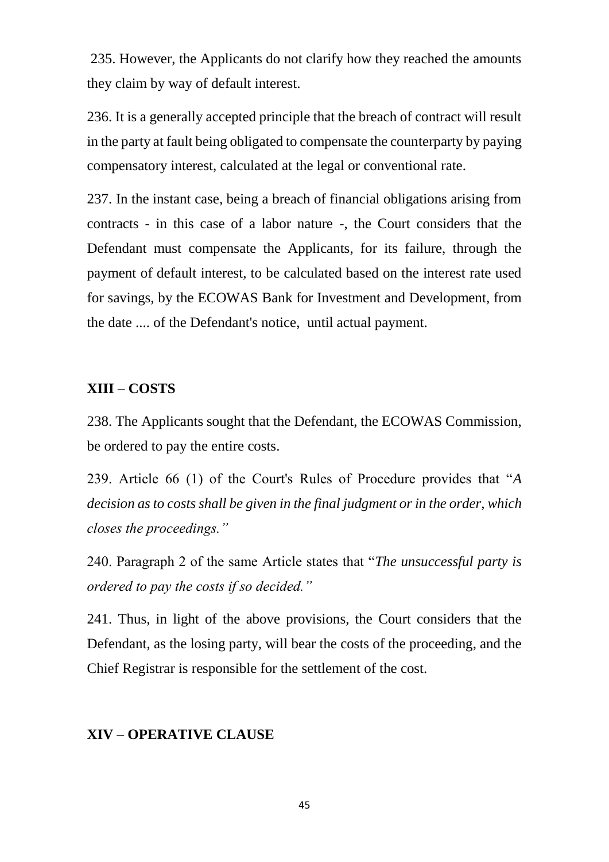235. However, the Applicants do not clarify how they reached the amounts they claim by way of default interest.

236. It is a generally accepted principle that the breach of contract will result in the party at fault being obligated to compensate the counterparty by paying compensatory interest, calculated at the legal or conventional rate.

237. In the instant case, being a breach of financial obligations arising from contracts - in this case of a labor nature -, the Court considers that the Defendant must compensate the Applicants, for its failure, through the payment of default interest, to be calculated based on the interest rate used for savings, by the ECOWAS Bank for Investment and Development, from the date .... of the Defendant's notice, until actual payment.

#### **XIII – COSTS**

238. The Applicants sought that the Defendant, the ECOWAS Commission, be ordered to pay the entire costs.

239. Article 66 (1) of the Court's Rules of Procedure provides that "*A decision as to costs shall be given in the final judgment or in the order, which closes the proceedings."*

240. Paragraph 2 of the same Article states that "*The unsuccessful party is ordered to pay the costs if so decided."*

241. Thus, in light of the above provisions, the Court considers that the Defendant, as the losing party, will bear the costs of the proceeding, and the Chief Registrar is responsible for the settlement of the cost.

### **XIV – OPERATIVE CLAUSE**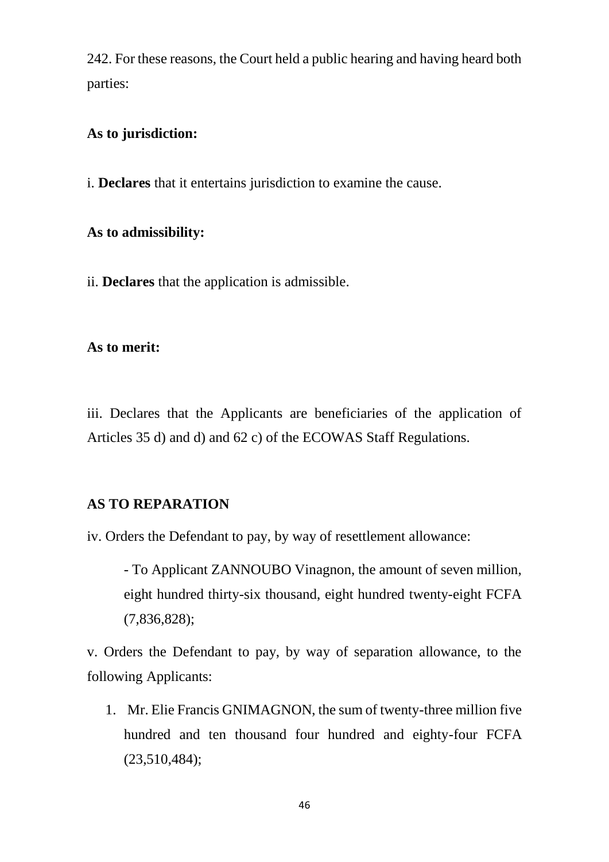242. For these reasons, the Court held a public hearing and having heard both parties:

### **As to jurisdiction:**

i. **Declares** that it entertains jurisdiction to examine the cause.

## **As to admissibility:**

ii. **Declares** that the application is admissible.

## **As to merit:**

iii. Declares that the Applicants are beneficiaries of the application of Articles 35 d) and d) and 62 c) of the ECOWAS Staff Regulations.

## **AS TO REPARATION**

iv. Orders the Defendant to pay, by way of resettlement allowance:

- To Applicant ZANNOUBO Vinagnon, the amount of seven million, eight hundred thirty-six thousand, eight hundred twenty-eight FCFA (7,836,828);

v. Orders the Defendant to pay, by way of separation allowance, to the following Applicants:

1. Mr. Elie Francis GNIMAGNON, the sum of twenty-three million five hundred and ten thousand four hundred and eighty-four FCFA (23,510,484);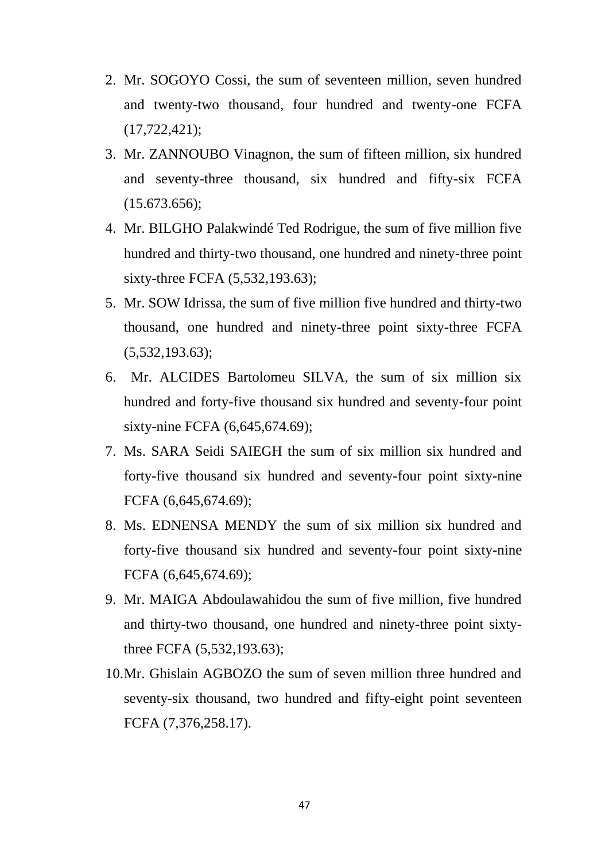- 2. Mr. SOGOYO Cossi, the sum of seventeen million, seven hundred and twenty-two thousand, four hundred and twenty-one FCFA (17,722,421);
- 3. Mr. ZANNOUBO Vinagnon, the sum of fifteen million, six hundred and seventy-three thousand, six hundred and fifty-six FCFA  $(15.673.656);$
- 4. Mr. BILGHO Palakwindé Ted Rodrigue, the sum of five million five hundred and thirty-two thousand, one hundred and ninety-three point sixty-three FCFA (5,532,193.63);
- 5. Mr. SOW Idrissa, the sum of five million five hundred and thirty-two thousand, one hundred and ninety-three point sixty-three FCFA  $(5,532,193.63);$
- 6. Mr. ALCIDES Bartolomeu SILVA, the sum of six million six hundred and forty-five thousand six hundred and seventy-four point sixty-nine FCFA (6,645,674.69);
- 7. Ms. SARA Seidi SAIEGH the sum of six million six hundred and forty-five thousand six hundred and seventy-four point sixty-nine FCFA (6,645,674.69);
- 8. Ms. EDNENSA MENDY the sum of six million six hundred and forty-five thousand six hundred and seventy-four point sixty-nine FCFA (6,645,674.69);
- 9. Mr. MAIGA Abdoulawahidou the sum of five million, five hundred and thirty-two thousand, one hundred and ninety-three point sixtythree FCFA (5,532,193.63);
- 10.Mr. Ghislain AGBOZO the sum of seven million three hundred and seventy-six thousand, two hundred and fifty-eight point seventeen FCFA (7,376,258.17).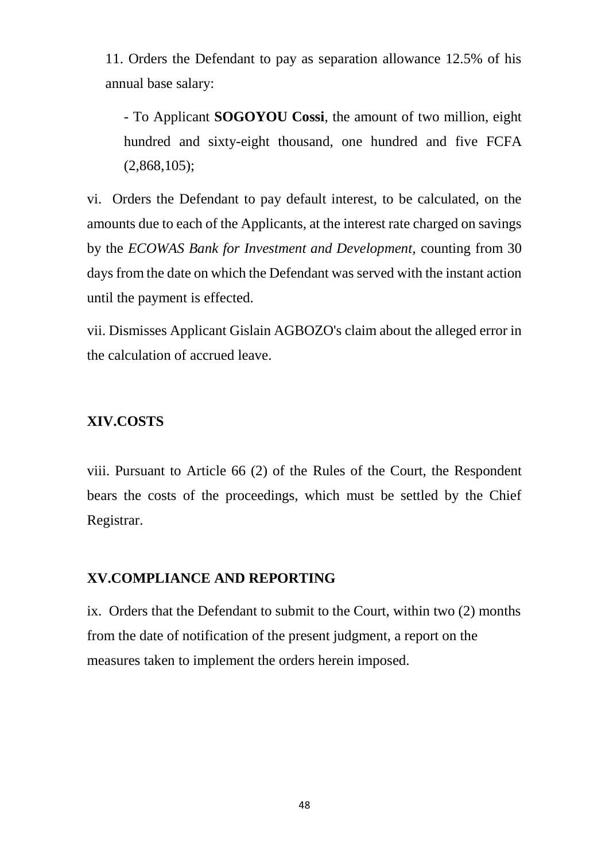11. Orders the Defendant to pay as separation allowance 12.5% of his annual base salary:

- To Applicant **SOGOYOU Cossi**, the amount of two million, eight hundred and sixty-eight thousand, one hundred and five FCFA  $(2,868,105)$ ;

vi. Orders the Defendant to pay default interest, to be calculated, on the amounts due to each of the Applicants, at the interest rate charged on savings by the *ECOWAS Bank for Investment and Development,* counting from 30 days from the date on which the Defendant was served with the instant action until the payment is effected.

vii. Dismisses Applicant Gislain AGBOZO's claim about the alleged error in the calculation of accrued leave.

## **XIV.COSTS**

viii. Pursuant to Article 66 (2) of the Rules of the Court, the Respondent bears the costs of the proceedings, which must be settled by the Chief Registrar.

### **XV.COMPLIANCE AND REPORTING**

ix. Orders that the Defendant to submit to the Court, within two (2) months from the date of notification of the present judgment, a report on the measures taken to implement the orders herein imposed.